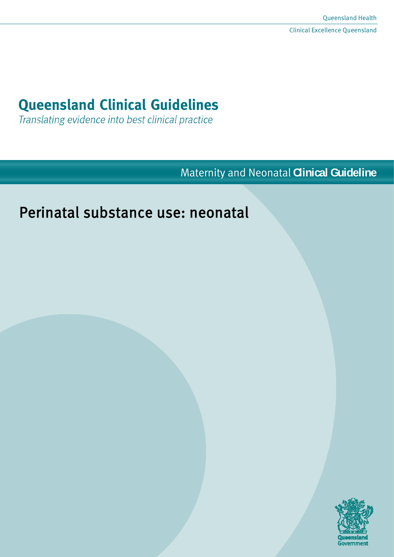# **Queensland Clinical Guidelines**

Translating evidence into best clinical practice

Maternity and Neonatal **Clinical Guideline**

# Perinatal substance use: neonatal

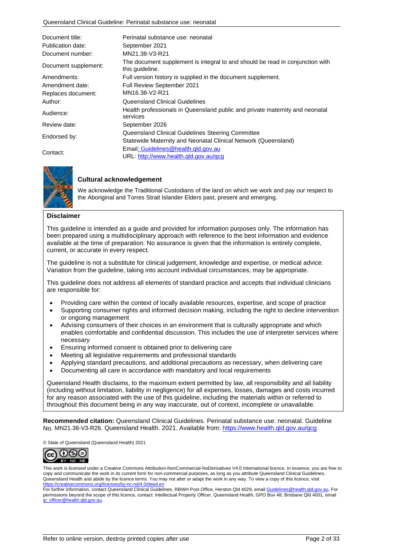| Document title:<br>Publication date: | Perinatal substance use: neonatal<br>September 2021                                                                 |
|--------------------------------------|---------------------------------------------------------------------------------------------------------------------|
| Document number:                     | MN21.38-V3-R21                                                                                                      |
| Document supplement:                 | The document supplement is integral to and should be read in conjunction with<br>this guideline.                    |
| Amendments:                          | Full version history is supplied in the document supplement.                                                        |
| Amendment date:                      | Full Review September 2021                                                                                          |
| Replaces document:                   | MN16.38-V2-R21                                                                                                      |
| Author:                              | Queensland Clinical Guidelines                                                                                      |
| Audience:                            | Health professionals in Queensland public and private maternity and neonatal<br>services                            |
| Review date:                         | September 2026                                                                                                      |
| Endorsed by:                         | Queensland Clinical Guidelines Steering Committee<br>Statewide Maternity and Neonatal Clinical Network (Queensland) |
| Contact:                             | Email: Guidelines@health.gld.gov.au<br>URL: http://www.health.qld.gov.au/qcg                                        |



#### **Cultural acknowledgement**

We acknowledge the Traditional Custodians of the land on which we work and pay our respect to the Aboriginal and Torres Strait Islander Elders past, present and emerging.

#### **Disclaimer**

This guideline is intended as a guide and provided for information purposes only. The information has been prepared using a multidisciplinary approach with reference to the best information and evidence available at the time of preparation. No assurance is given that the information is entirely complete, current, or accurate in every respect.

The guideline is not a substitute for clinical judgement, knowledge and expertise, or medical advice. Variation from the guideline, taking into account individual circumstances, may be appropriate.

This guideline does not address all elements of standard practice and accepts that individual clinicians are responsible for:

- Providing care within the context of locally available resources, expertise, and scope of practice
- Supporting consumer rights and informed decision making, including the right to decline intervention or ongoing management
- Advising consumers of their choices in an environment that is culturally appropriate and which enables comfortable and confidential discussion. This includes the use of interpreter services where necessary
- Ensuring informed consent is obtained prior to delivering care
- Meeting all legislative requirements and professional standards
- Applying standard precautions, and additional precautions as necessary, when delivering care
- Documenting all care in accordance with mandatory and local requirements

Queensland Health disclaims, to the maximum extent permitted by law, all responsibility and all liability (including without limitation, liability in negligence) for all expenses, losses, damages and costs incurred for any reason associated with the use of this guideline, including the materials within or referred to throughout this document being in any way inaccurate, out of context, incomplete or unavailable.

**Recommended citation:** Queensland Clinical Guidelines. Perinatal substance use: neonatal. Guideline No. MN21.38-V3-R26. Queensland Health. 2021. Available from: [https://www.health.qld.gov.au/qcg](http://www.health.qld.gov.au/qcg)

© State of Queensland (Queensland Health) 2021



This work is licensed under a Creative Commons Attribution-NonCommercial-NoDerivatives V4.0 International licence. In essence, you are free to copy and communicate the work in its current form for non-commercial purposes, as long as you attribute Queensland Clinical Guidelines, Queensland Health and abide by the licence terms. You may not alter or adapt the work in any way. To view a copy of this licence, visit <https://creativecommons.org/licenses/by-nc-nd/4.0/deed.en>

For further information, contact Queensland Clinical Guidelines, RBWH Post Office, Herston Qld 4029, email [Guidelines@health.qld.gov.au.](mailto:Guidelines@health.qld.gov.au) For permissions beyond the scope of this licence, contact: Intellectual Property Officer, Queensland Health, GPO Box 48, Brisbane Qld 4001, email [ip\\_officer@health.qld.gov.au.](mailto:ip_officer@health.qld.gov.au)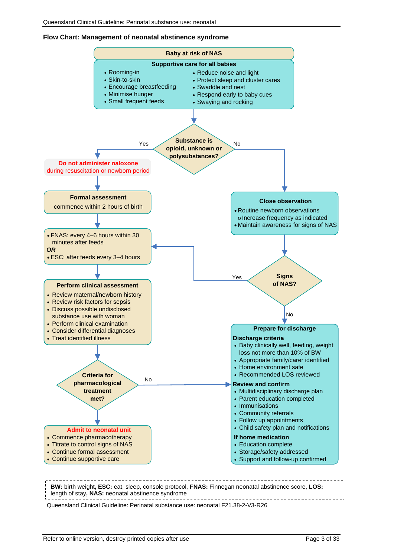#### **Flow Chart: Management of neonatal abstinence syndrome**



**BW:** birth weight**, ESC:** eat, sleep, console protocol, **FNAS:** Finnegan neonatal abstinence score, **LOS:**  length of stay**, NAS:** neonatal abstinence syndrome

Queensland Clinical Guideline: Perinatal substance use: neonatal F21.38-2-V3-R26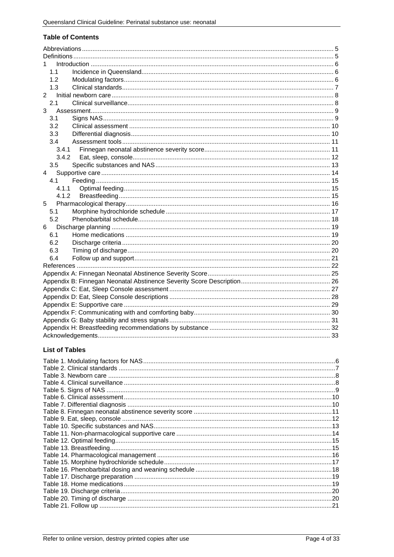#### **Table of Contents**

| 1.1            |  |  |
|----------------|--|--|
| 1.2            |  |  |
| 1.3            |  |  |
| $\overline{2}$ |  |  |
| 2.1            |  |  |
| 3              |  |  |
| 3.1            |  |  |
| 3.2            |  |  |
| 3.3            |  |  |
| 3.4            |  |  |
| 3.4.1          |  |  |
| 3.4.2          |  |  |
| 3.5            |  |  |
| 4              |  |  |
| 4.1            |  |  |
| 4.1.1          |  |  |
| 4.1.2          |  |  |
| 5              |  |  |
| 5.1            |  |  |
| 5.2            |  |  |
| 6              |  |  |
| 6.1            |  |  |
| 6.2            |  |  |
| 6.3            |  |  |
| 6.4            |  |  |
|                |  |  |
|                |  |  |
|                |  |  |
|                |  |  |
|                |  |  |
|                |  |  |
|                |  |  |
|                |  |  |
|                |  |  |
|                |  |  |

### **List of Tables**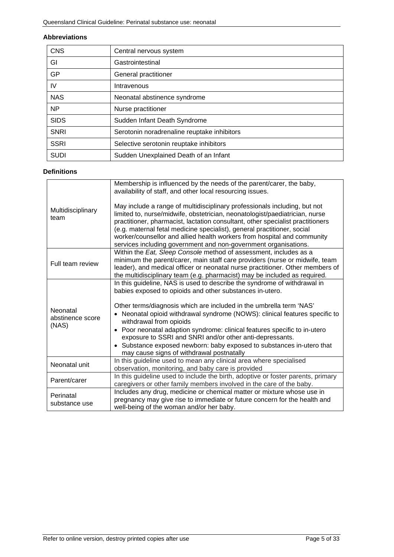#### <span id="page-4-0"></span>**Abbreviations**

| <b>CNS</b>  | Central nervous system                      |
|-------------|---------------------------------------------|
| GI          | Gastrointestinal                            |
| GP          | General practitioner                        |
| IV          | Intravenous                                 |
| <b>NAS</b>  | Neonatal abstinence syndrome                |
| <b>NP</b>   | Nurse practitioner                          |
| <b>SIDS</b> | Sudden Infant Death Syndrome                |
| <b>SNRI</b> | Serotonin noradrenaline reuptake inhibitors |
| <b>SSRI</b> | Selective serotonin reuptake inhibitors     |
| <b>SUDI</b> | Sudden Unexplained Death of an Infant       |

#### <span id="page-4-1"></span>**Definitions**

|                                       | Membership is influenced by the needs of the parent/carer, the baby,<br>availability of staff, and other local resourcing issues.                                                                                                                                                                                                                                                                                                                                   |
|---------------------------------------|---------------------------------------------------------------------------------------------------------------------------------------------------------------------------------------------------------------------------------------------------------------------------------------------------------------------------------------------------------------------------------------------------------------------------------------------------------------------|
| Multidisciplinary<br>team             | May include a range of multidisciplinary professionals including, but not<br>limited to, nurse/midwife, obstetrician, neonatologist/paediatrician, nurse<br>practitioner, pharmacist, lactation consultant, other specialist practitioners<br>(e.g. maternal fetal medicine specialist), general practitioner, social<br>worker/counsellor and allied health workers from hospital and community<br>services including government and non-government organisations. |
| Full team review                      | Within the Eat, Sleep Console method of assessment, includes as a<br>minimum the parent/carer, main staff care providers (nurse or midwife, team<br>leader), and medical officer or neonatal nurse practitioner. Other members of<br>the multidisciplinary team (e.g. pharmacist) may be included as required.                                                                                                                                                      |
|                                       | In this guideline, NAS is used to describe the syndrome of withdrawal in<br>babies exposed to opioids and other substances in-utero.                                                                                                                                                                                                                                                                                                                                |
| Neonatal<br>abstinence score<br>(NAS) | Other terms/diagnosis which are included in the umbrella term 'NAS'<br>Neonatal opioid withdrawal syndrome (NOWS): clinical features specific to<br>withdrawal from opioids<br>Poor neonatal adaption syndrome: clinical features specific to in-utero<br>$\bullet$<br>exposure to SSRI and SNRI and/or other anti-depressants.<br>• Substance exposed newborn: baby exposed to substances in-utero that                                                            |
|                                       | may cause signs of withdrawal postnatally<br>In this guideline used to mean any clinical area where specialised                                                                                                                                                                                                                                                                                                                                                     |
| Neonatal unit                         | observation, monitoring, and baby care is provided                                                                                                                                                                                                                                                                                                                                                                                                                  |
| Parent/carer                          | In this guideline used to include the birth, adoptive or foster parents, primary<br>caregivers or other family members involved in the care of the baby.                                                                                                                                                                                                                                                                                                            |
| Perinatal<br>substance use            | Includes any drug, medicine or chemical matter or mixture whose use in<br>pregnancy may give rise to immediate or future concern for the health and<br>well-being of the woman and/or her baby.                                                                                                                                                                                                                                                                     |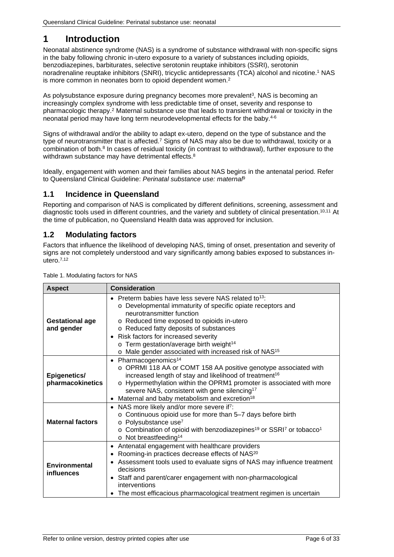# <span id="page-5-0"></span>**1 Introduction**

Neonatal abstinence syndrome (NAS) is a syndrome of substance withdrawal with non-specific signs in the baby following chronic in-utero exposure to a variety of substances including opioids, benzodiazepines, barbiturates, selective serotonin reuptake inhibitors (SSRI), serotonin noradrenaline reuptake inhibitors (SNRI), tricyclic antidepressants (TCA) alcohol and nicotine. <sup>1</sup> NAS is more common in neonates born to opioid dependent women.2

As polysubstance exposure during pregnancy becomes more prevalent<sup>3</sup>, NAS is becoming an increasingly complex syndrome with less predictable time of onset, severity and response to pharmacologic therapy.<sup>2</sup> Maternal substance use that leads to transient withdrawal or toxicity in the neonatal period may have long term neurodevelopmental effects for the baby.4-6

Signs of withdrawal and/or the ability to adapt ex-utero, depend on the type of substance and the type of neurotransmitter that is affected.<sup>7</sup> Signs of NAS may also be due to withdrawal, toxicity or a combination of both.8 In cases of residual toxicity (in contrast to withdrawal), further exposure to the withdrawn substance may have detrimental effects.<sup>8</sup>

Ideally, engagement with women and their families about NAS begins in the antenatal period. Refer to Queensland Clinical Guideline: *Perinatal substance use: maternal*<sup>9</sup>

### <span id="page-5-1"></span>**1.1 Incidence in Queensland**

Reporting and comparison of NAS is complicated by different definitions, screening, assessment and diagnostic tools used in different countries, and the variety and subtlety of clinical presentation.<sup>10,11</sup> At the time of publication, no Queensland Health data was approved for inclusion.

### <span id="page-5-2"></span>**1.2 Modulating factors**

Factors that influence the likelihood of developing NAS, timing of onset, presentation and severity of signs are not completely understood and vary significantly among babies exposed to substances inutero. 7,12

| <b>Aspect</b>                        | <b>Consideration</b>                                                                                                                                                                                                                                                                                                                                                                                                        |
|--------------------------------------|-----------------------------------------------------------------------------------------------------------------------------------------------------------------------------------------------------------------------------------------------------------------------------------------------------------------------------------------------------------------------------------------------------------------------------|
| <b>Gestational age</b><br>and gender | • Preterm babies have less severe NAS related to $13$ .<br>o Developmental immaturity of specific opiate receptors and<br>neurotransmitter function<br>o Reduced time exposed to opioids in-utero<br>o Reduced fatty deposits of substances<br>Risk factors for increased severity<br>$\bullet$<br>o Term gestation/average birth weight <sup>14</sup><br>o Male gender associated with increased risk of NAS <sup>15</sup> |
| Epigenetics/<br>pharmacokinetics     | Pharmacogenomics <sup>14</sup><br>$\bullet$<br>$\circ$ OPRMI 118 AA or COMT 158 AA positive genotype associated with<br>increased length of stay and likelihood of treatment <sup>16</sup><br>Hypermethylation within the OPRM1 promoter is associated with more<br>$\circ$<br>severe NAS, consistent with gene silencing <sup>17</sup><br>Maternal and baby metabolism and excretion <sup>18</sup><br>$\bullet$            |
| <b>Maternal factors</b>              | NAS more likely and/or more severe if <sup>7</sup> :<br>$\bullet$<br>o Continuous opioid use for more than 5-7 days before birth<br>Polysubstance use <sup>7</sup><br>$\circ$<br>o Combination of opioid with benzodiazepines <sup>19</sup> or SSRI <sup>7</sup> or tobacco <sup>1</sup><br>o Not breastfeeding <sup>14</sup>                                                                                               |
| Environmental<br>influences          | Antenatal engagement with healthcare providers<br>$\bullet$<br>Rooming-in practices decrease effects of NAS <sup>20</sup><br>٠<br>Assessment tools used to evaluate signs of NAS may influence treatment<br>$\bullet$<br>decisions<br>• Staff and parent/carer engagement with non-pharmacological<br>interventions<br>The most efficacious pharmacological treatment regimen is uncertain<br>$\bullet$                     |

<span id="page-5-3"></span>Table 1. Modulating factors for NAS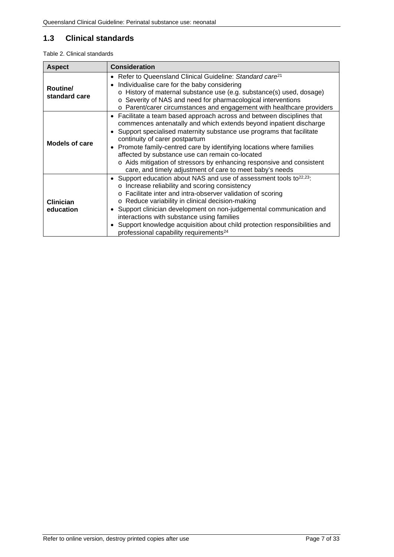### <span id="page-6-0"></span>**1.3 Clinical standards**

<span id="page-6-1"></span>Table 2. Clinical standards

| <b>Aspect</b>                 | <b>Consideration</b>                                                                                                                                                                                                                                                                                                                                                                                                                                                                                                                       |
|-------------------------------|--------------------------------------------------------------------------------------------------------------------------------------------------------------------------------------------------------------------------------------------------------------------------------------------------------------------------------------------------------------------------------------------------------------------------------------------------------------------------------------------------------------------------------------------|
| Routine/<br>standard care     | • Refer to Queensland Clinical Guideline: Standard care <sup>21</sup><br>Individualise care for the baby considering<br>٠<br>o History of maternal substance use (e.g. substance(s) used, dosage)<br>o Severity of NAS and need for pharmacological interventions<br>o Parent/carer circumstances and engagement with healthcare providers                                                                                                                                                                                                 |
| <b>Models of care</b>         | Facilitate a team based approach across and between disciplines that<br>٠<br>commences antenatally and which extends beyond inpatient discharge<br>Support specialised maternity substance use programs that facilitate<br>٠<br>continuity of carer postpartum<br>Promote family-centred care by identifying locations where families<br>$\bullet$<br>affected by substance use can remain co-located<br>o Aids mitigation of stressors by enhancing responsive and consistent<br>care, and timely adjustment of care to meet baby's needs |
| <b>Clinician</b><br>education | • Support education about NAS and use of assessment tools to <sup>22,23</sup> :<br>o Increase reliability and scoring consistency<br>Facilitate inter and intra-observer validation of scoring<br>$\Omega$<br>o Reduce variability in clinical decision-making<br>• Support clinician development on non-judgemental communication and<br>interactions with substance using families<br>Support knowledge acquisition about child protection responsibilities and<br>$\bullet$<br>professional capability requirements <sup>24</sup>       |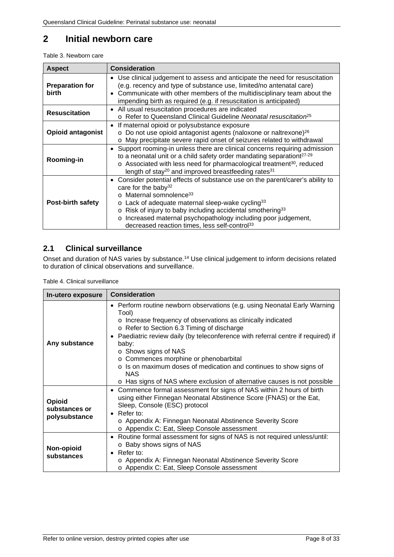# <span id="page-7-0"></span>**2 Initial newborn care**

<span id="page-7-2"></span>Table 3. Newborn care

| <b>Aspect</b>                   | <b>Consideration</b>                                                                                                                                                                                                                                                                                                                                                                                                                             |
|---------------------------------|--------------------------------------------------------------------------------------------------------------------------------------------------------------------------------------------------------------------------------------------------------------------------------------------------------------------------------------------------------------------------------------------------------------------------------------------------|
| <b>Preparation for</b><br>birth | Use clinical judgement to assess and anticipate the need for resuscitation<br>$\bullet$<br>(e.g. recency and type of substance use, limited/no antenatal care)<br>• Communicate with other members of the multidisciplinary team about the<br>impending birth as required (e.g. if resuscitation is anticipated)                                                                                                                                 |
| <b>Resuscitation</b>            | All usual resuscitation procedures are indicated<br>$\bullet$<br>o Refer to Queensland Clinical Guideline Neonatal resuscitation <sup>25</sup>                                                                                                                                                                                                                                                                                                   |
| <b>Opioid antagonist</b>        | If maternal opioid or polysubstance exposure<br>o Do not use opioid antagonist agents (naloxone or naltrexone) <sup>26</sup><br>o May precipitate severe rapid onset of seizures related to withdrawal                                                                                                                                                                                                                                           |
| Rooming-in                      | • Support rooming-in unless there are clinical concerns requiring admission<br>to a neonatal unit or a child safety order mandating separationt <sup>27-29</sup><br>o Associated with less need for pharmacological treatment <sup>30</sup> , reduced<br>length of stay <sup>20</sup> and improved breastfeeding rates <sup>31</sup>                                                                                                             |
| <b>Post-birth safety</b>        | • Consider potential effects of substance use on the parent/carer's ability to<br>care for the baby <sup>32</sup><br>o Maternal somnolence <sup>33</sup><br>$\circ$ Lack of adequate maternal sleep-wake cycling <sup>33</sup><br>o Risk of injury to baby including accidental smothering <sup>33</sup><br>Increased maternal psychopathology including poor judgement,<br>$\circ$<br>decreased reaction times, less self-control <sup>33</sup> |

### <span id="page-7-1"></span>**2.1 Clinical surveillance**

Onset and duration of NAS varies by substance.<sup>14</sup> Use clinical judgement to inform decisions related to duration of clinical observations and surveillance.

<span id="page-7-3"></span>Table 4. Clinical surveillance

| In-utero exposure                        | <b>Consideration</b>                                                                                                                                                                                                                                                                                                                                                                                                                                                                                                    |
|------------------------------------------|-------------------------------------------------------------------------------------------------------------------------------------------------------------------------------------------------------------------------------------------------------------------------------------------------------------------------------------------------------------------------------------------------------------------------------------------------------------------------------------------------------------------------|
| Any substance                            | • Perform routine newborn observations (e.g. using Neonatal Early Warning<br>Tool)<br>o Increase frequency of observations as clinically indicated<br>o Refer to Section 6.3 Timing of discharge<br>Paediatric review daily (by teleconference with referral centre if required) if<br>baby:<br>○ Shows signs of NAS<br>o Commences morphine or phenobarbital<br>o Is on maximum doses of medication and continues to show signs of<br>NAS.<br>o Has signs of NAS where exclusion of alternative causes is not possible |
| Opioid<br>substances or<br>polysubstance | Commence formal assessment for signs of NAS within 2 hours of birth<br>$\bullet$<br>using either Finnegan Neonatal Abstinence Score (FNAS) or the Eat,<br>Sleep, Console (ESC) protocol<br>$\bullet$ Refer to:<br>o Appendix A: Finnegan Neonatal Abstinence Severity Score<br>o Appendix C: Eat, Sleep Console assessment                                                                                                                                                                                              |
| Non-opioid<br>substances                 | Routine formal assessment for signs of NAS is not required unless/until:<br>$\bullet$<br>○ Baby shows signs of NAS<br>Refer to:<br>$\bullet$<br>o Appendix A: Finnegan Neonatal Abstinence Severity Score<br>o Appendix C: Eat, Sleep Console assessment                                                                                                                                                                                                                                                                |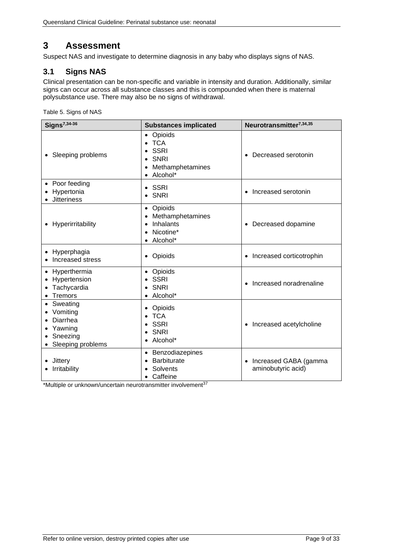# <span id="page-8-0"></span>**3 Assessment**

Suspect NAS and investigate to determine diagnosis in any baby who displays signs of NAS.

### <span id="page-8-1"></span>**3.1 Signs NAS**

Clinical presentation can be non-specific and variable in intensity and duration. Additionally, similar signs can occur across all substance classes and this is compounded when there is maternal polysubstance use. There may also be no signs of withdrawal.

<span id="page-8-2"></span>Table 5. Signs of NAS

| Signs <sup>7,34-36</sup>                                                           | <b>Substances implicated</b>                                                                           | Neurotransmitter <sup>7,34,35</sup>         |
|------------------------------------------------------------------------------------|--------------------------------------------------------------------------------------------------------|---------------------------------------------|
| • Sleeping problems                                                                | • Opioids<br>$\bullet$ TCA<br><b>SSRI</b><br><b>SNRI</b><br>Methamphetamines<br>• Alcohol*             | Decreased serotonin                         |
| • Poor feeding<br>Hypertonia<br><b>Jitteriness</b>                                 | $\bullet$ SSRI<br>$\bullet$ SNRI                                                                       | Increased serotonin<br>$\bullet$            |
| • Hyperirritability                                                                | • Opioids<br>Methamphetamines<br><b>Inhalants</b><br>$\bullet$<br>Nicotine*<br>$\bullet$<br>• Alcohol* | Decreased dopamine                          |
| • Hyperphagia<br>Increased stress                                                  | • Opioids                                                                                              | Increased corticotrophin                    |
| • Hyperthermia<br>Hypertension<br>Tachycardia<br><b>Tremors</b><br>$\bullet$       | • Opioids<br>SSRI<br>SNRI<br>• Alcohol*                                                                | Increased noradrenaline                     |
| • Sweating<br>Vomiting<br>Diarrhea<br>Yawning<br>• Sneezing<br>• Sleeping problems | Opioids<br>٠<br>$\bullet$ TCA<br><b>SSRI</b><br>$\bullet$ SNRI<br>• Alcohol*                           | Increased acetylcholine<br>$\bullet$        |
| Jittery<br>Irritability                                                            | • Benzodiazepines<br><b>Barbiturate</b><br>Solvents<br>Caffeine<br>$\bullet$                           | Increased GABA (gamma<br>aminobutyric acid) |

\*Multiple or unknown/uncertain neurotransmitter involvement<sup>37</sup>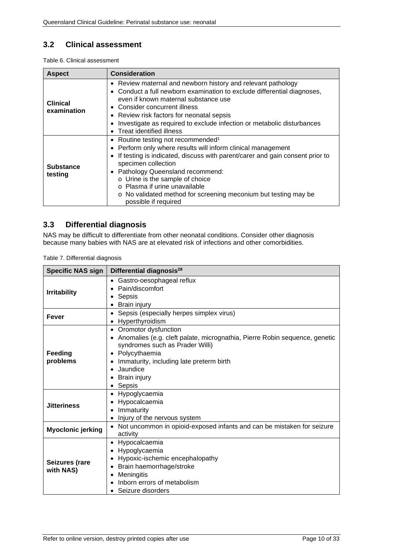### <span id="page-9-0"></span>**3.2 Clinical assessment**

<span id="page-9-2"></span>Table 6. Clinical assessment

| <b>Aspect</b>                  | <b>Consideration</b>                                                                                                                                                                                                                                                                                                                                                                                                                                    |
|--------------------------------|---------------------------------------------------------------------------------------------------------------------------------------------------------------------------------------------------------------------------------------------------------------------------------------------------------------------------------------------------------------------------------------------------------------------------------------------------------|
| <b>Clinical</b><br>examination | • Review maternal and newborn history and relevant pathology<br>• Conduct a full newborn examination to exclude differential diagnoses,<br>even if known maternal substance use<br>• Consider concurrent illness<br>• Review risk factors for neonatal sepsis<br>Investigate as required to exclude infection or metabolic disturbances<br>٠<br>Treat identified illness<br>$\bullet$                                                                   |
| <b>Substance</b><br>testing    | • Routine testing not recommended <sup>1</sup><br>• Perform only where results will inform clinical management<br>If testing is indicated, discuss with parent/carer and gain consent prior to<br>$\bullet$<br>specimen collection<br>Pathology Queensland recommend:<br>$\bullet$<br>o Urine is the sample of choice<br>$\circ$ Plasma if urine unavailable<br>• No validated method for screening meconium but testing may be<br>possible if required |

### <span id="page-9-1"></span>**3.3 Differential diagnosis**

NAS may be difficult to differentiate from other neonatal conditions. Consider other diagnosis because many babies with NAS are at elevated risk of infections and other comorbidities.

<span id="page-9-3"></span>

| <b>Specific NAS sign</b>    | Differential diagnosis <sup>28</sup>                                                                                                                                                                                                                                                 |  |  |
|-----------------------------|--------------------------------------------------------------------------------------------------------------------------------------------------------------------------------------------------------------------------------------------------------------------------------------|--|--|
| <b>Irritability</b>         | Gastro-oesophageal reflux<br>$\bullet$<br>Pain/discomfort<br>Sepsis<br>٠<br>Brain injury                                                                                                                                                                                             |  |  |
| <b>Fever</b>                | Sepsis (especially herpes simplex virus)<br>٠<br>Hyperthyroidism<br>$\bullet$                                                                                                                                                                                                        |  |  |
| Feeding<br>problems         | Oromotor dysfunction<br>$\bullet$<br>Anomalies (e.g. cleft palate, micrognathia, Pierre Robin sequence, genetic<br>$\bullet$<br>syndromes such as Prader Willi)<br>Polycythaemia<br>٠<br>Immaturity, including late preterm birth<br>Jaundice<br>Brain injury<br>$\bullet$<br>Sepsis |  |  |
| <b>Jitteriness</b>          | Hypoglycaemia<br>Hypocalcaemia<br>Immaturity<br>Injury of the nervous system<br>$\bullet$                                                                                                                                                                                            |  |  |
| <b>Myoclonic jerking</b>    | Not uncommon in opioid-exposed infants and can be mistaken for seizure<br>$\bullet$<br>activity                                                                                                                                                                                      |  |  |
| Seizures (rare<br>with NAS) | Hypocalcaemia<br>$\bullet$<br>Hypoglycaemia<br>Hypoxic-ischemic encephalopathy<br>$\bullet$<br>Brain haemorrhage/stroke<br>Meningitis<br>$\bullet$<br>Inborn errors of metabolism<br>Seizure disorders                                                                               |  |  |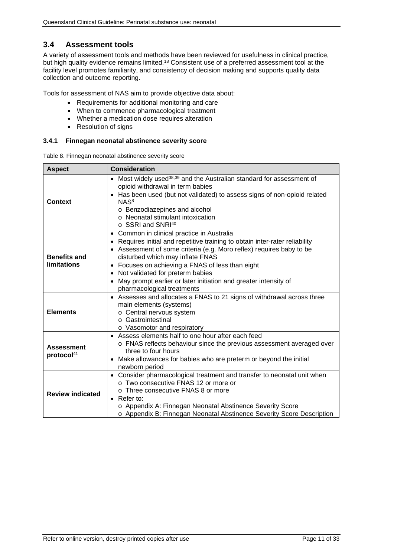### <span id="page-10-0"></span>**3.4 Assessment tools**

A variety of assessment tools and methods have been reviewed for usefulness in clinical practice, but high quality evidence remains limited.18 Consistent use of a preferred assessment tool at the facility level promotes familiarity, and consistency of decision making and supports quality data collection and outcome reporting.

Tools for assessment of NAS aim to provide objective data about:

- Requirements for additional monitoring and care
- When to commence pharmacological treatment
- Whether a medication dose requires alteration
- Resolution of signs

#### <span id="page-10-1"></span>**3.4.1 Finnegan neonatal abstinence severity score**

<span id="page-10-2"></span>Table 8. Finnegan neonatal abstinence severity score

| <b>Aspect</b>                               | <b>Consideration</b>                                                                                                                                                                                                                                                                                                                                                                                                                                               |
|---------------------------------------------|--------------------------------------------------------------------------------------------------------------------------------------------------------------------------------------------------------------------------------------------------------------------------------------------------------------------------------------------------------------------------------------------------------------------------------------------------------------------|
| <b>Context</b>                              | • Most widely used <sup>38,39</sup> and the Australian standard for assessment of<br>opioid withdrawal in term babies<br>Has been used (but not validated) to assess signs of non-opioid related<br>NAS <sup>8</sup><br>o Benzodiazepines and alcohol<br>o Neonatal stimulant intoxication<br>o SSRI and SNRI <sup>40</sup>                                                                                                                                        |
| <b>Benefits and</b><br><b>limitations</b>   | Common in clinical practice in Australia<br>$\bullet$<br>Requires initial and repetitive training to obtain inter-rater reliability<br>• Assessment of some criteria (e.g. Moro reflex) requires baby to be<br>disturbed which may inflate FNAS<br>• Focuses on achieving a FNAS of less than eight<br>Not validated for preterm babies<br>$\bullet$<br>May prompt earlier or later initiation and greater intensity of<br>$\bullet$<br>pharmacological treatments |
| <b>Elements</b>                             | • Assesses and allocates a FNAS to 21 signs of withdrawal across three<br>main elements (systems)<br>o Central nervous system<br>○ Gastrointestinal<br>o Vasomotor and respiratory                                                                                                                                                                                                                                                                                 |
| <b>Assessment</b><br>protocol <sup>41</sup> | • Assess elements half to one hour after each feed<br>o FNAS reflects behaviour since the previous assessment averaged over<br>three to four hours<br>Make allowances for babies who are preterm or beyond the initial<br>$\bullet$<br>newborn period                                                                                                                                                                                                              |
| <b>Review indicated</b>                     | • Consider pharmacological treatment and transfer to neonatal unit when<br>$\circ$ Two consecutive FNAS 12 or more or<br>o Three consecutive FNAS 8 or more<br>Refer to:<br>$\bullet$<br>o Appendix A: Finnegan Neonatal Abstinence Severity Score<br>o Appendix B: Finnegan Neonatal Abstinence Severity Score Description                                                                                                                                        |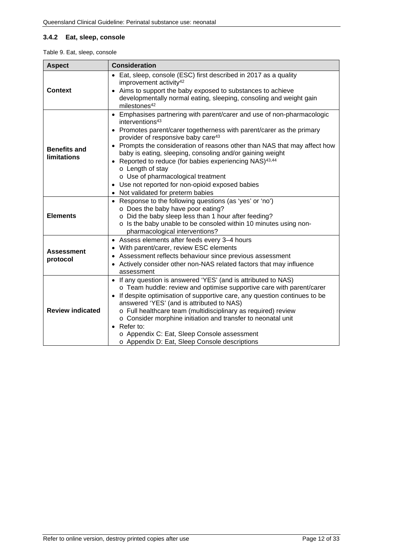#### <span id="page-11-0"></span>**3.4.2 Eat, sleep, console**

<span id="page-11-1"></span>

|  |  | Table 9. Eat, sleep, console |
|--|--|------------------------------|
|  |  |                              |

| <b>Aspect</b>                             | <b>Consideration</b>                                                                                                                                                                                                                                                                                                                                                                                                                                                                                                                                                                                           |  |  |  |
|-------------------------------------------|----------------------------------------------------------------------------------------------------------------------------------------------------------------------------------------------------------------------------------------------------------------------------------------------------------------------------------------------------------------------------------------------------------------------------------------------------------------------------------------------------------------------------------------------------------------------------------------------------------------|--|--|--|
| <b>Context</b>                            | • Eat, sleep, console (ESC) first described in 2017 as a quality<br>improvement activity <sup>42</sup><br>Aims to support the baby exposed to substances to achieve<br>$\bullet$<br>developmentally normal eating, sleeping, consoling and weight gain<br>milestones <sup>42</sup>                                                                                                                                                                                                                                                                                                                             |  |  |  |
| <b>Benefits and</b><br><b>limitations</b> | • Emphasises partnering with parent/carer and use of non-pharmacologic<br>interventions <sup>43</sup><br>• Promotes parent/carer togetherness with parent/carer as the primary<br>provider of responsive baby care <sup>43</sup><br>• Prompts the consideration of reasons other than NAS that may affect how<br>baby is eating, sleeping, consoling and/or gaining weight<br>Reported to reduce (for babies experiencing NAS) <sup>43,44</sup><br>o Length of stay<br>o Use of pharmacological treatment<br>Use not reported for non-opioid exposed babies<br>$\bullet$<br>• Not validated for preterm babies |  |  |  |
| <b>Elements</b>                           | • Response to the following questions (as 'yes' or 'no')<br>o Does the baby have poor eating?<br>o Did the baby sleep less than 1 hour after feeding?<br>o Is the baby unable to be consoled within 10 minutes using non-<br>pharmacological interventions?                                                                                                                                                                                                                                                                                                                                                    |  |  |  |
| <b>Assessment</b><br>protocol             | Assess elements after feeds every 3-4 hours<br>$\bullet$<br>With parent/carer, review ESC elements<br>$\bullet$<br>Assessment reflects behaviour since previous assessment<br>٠<br>Actively consider other non-NAS related factors that may influence<br>assessment                                                                                                                                                                                                                                                                                                                                            |  |  |  |
| <b>Review indicated</b>                   | If any question is answered 'YES' (and is attributed to NAS)<br>$\bullet$<br>o Team huddle: review and optimise supportive care with parent/carer<br>If despite optimisation of supportive care, any question continues to be<br>$\bullet$<br>answered 'YES' (and is attributed to NAS)<br>o Full healthcare team (multidisciplinary as required) review<br>o Consider morphine initiation and transfer to neonatal unit<br>Refer to:<br>$\bullet$<br>o Appendix C: Eat, Sleep Console assessment<br>o Appendix D: Eat, Sleep Console descriptions                                                             |  |  |  |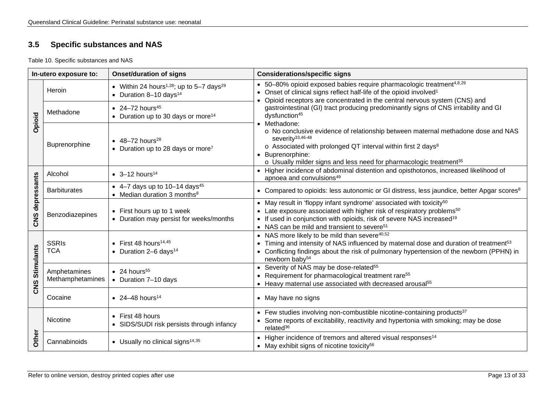### **3.5 Specific substances and NAS**

Table 10. Specific substances and NAS

<span id="page-12-1"></span><span id="page-12-0"></span>

| In-utero exposure to: |                                  | <b>Onset/duration of signs</b>                                                                         | <b>Considerations/specific signs</b>                                                                                                                                                                                                                                                                                                                                                                                                                                                      |  |
|-----------------------|----------------------------------|--------------------------------------------------------------------------------------------------------|-------------------------------------------------------------------------------------------------------------------------------------------------------------------------------------------------------------------------------------------------------------------------------------------------------------------------------------------------------------------------------------------------------------------------------------------------------------------------------------------|--|
| Opioid                | Heroin                           | • Within 24 hours <sup>1,28</sup> ; up to 5-7 days <sup>29</sup><br>• Duration 8-10 days <sup>14</sup> | • 50-80% opioid exposed babies require pharmacologic treatment <sup>4,8,29</sup><br>• Onset of clinical signs reflect half-life of the opioid involved <sup>1</sup><br>Opioid receptors are concentrated in the central nervous system (CNS) and                                                                                                                                                                                                                                          |  |
|                       | Methadone                        | • 24-72 hours <sup>45</sup><br>• Duration up to 30 days or more <sup>14</sup>                          | gastrointestinal (GI) tract producing predominantly signs of CNS irritability and GI<br>dysfunction <sup>45</sup><br>• Methadone:                                                                                                                                                                                                                                                                                                                                                         |  |
|                       | Buprenorphine                    | $\bullet$ 48-72 hours <sup>28</sup><br>• Duration up to 28 days or more <sup>7</sup>                   | o No conclusive evidence of relationship between maternal methadone dose and NAS<br>severity <sup>33,46-48</sup><br>o Associated with prolonged QT interval within first 2 days <sup>8</sup><br>Buprenorphine:<br>o Usually milder signs and less need for pharmacologic treatment <sup>35</sup>                                                                                                                                                                                          |  |
|                       | Alcohol                          | • $3 - 12$ hours <sup>14</sup>                                                                         | • Higher incidence of abdominal distention and opisthotonos, increased likelihood of<br>apnoea and convulsions <sup>49</sup>                                                                                                                                                                                                                                                                                                                                                              |  |
| depressants<br>CNS    | <b>Barbiturates</b>              | • 4–7 days up to 10–14 days <sup>45</sup><br>• Median duration 3 months $8$                            | • Compared to opioids: less autonomic or GI distress, less jaundice, better Apgar scores <sup>8</sup>                                                                                                                                                                                                                                                                                                                                                                                     |  |
|                       | Benzodiazepines                  | • First hours up to 1 week<br>• Duration may persist for weeks/months                                  | • May result in 'floppy infant syndrome' associated with toxicity <sup>50</sup><br>• Late exposure associated with higher risk of respiratory problems <sup>50</sup><br>• If used in conjunction with opioids, risk of severe NAS increased <sup>19</sup><br>• NAS can be mild and transient to severe <sup>51</sup>                                                                                                                                                                      |  |
| <b>Stimulants</b>     | <b>SSRIs</b><br><b>TCA</b>       | $\bullet$ First 48 hours <sup>14,45</sup><br>• Duration $2-6$ days <sup>14</sup>                       | • NAS more likely to be mild than severe <sup>40,52</sup><br>• Timing and intensity of NAS influenced by maternal dose and duration of treatment <sup>53</sup><br>• Conflicting findings about the risk of pulmonary hypertension of the newborn (PPHN) in<br>newborn baby <sup>54</sup><br>• Severity of NAS may be dose-related <sup>55</sup><br>• Requirement for pharmacological treatment rare <sup>55</sup><br>• Heavy maternal use associated with decreased arousal <sup>55</sup> |  |
| CNS                   | Amphetamines<br>Methamphetamines | $\bullet$ 24 hours <sup>55</sup><br>• Duration 7-10 days                                               |                                                                                                                                                                                                                                                                                                                                                                                                                                                                                           |  |
|                       | Cocaine                          | • 24-48 hours <sup>14</sup>                                                                            | • May have no signs                                                                                                                                                                                                                                                                                                                                                                                                                                                                       |  |
|                       | Nicotine                         | • First 48 hours<br>• SIDS/SUDI risk persists through infancy                                          | • Few studies involving non-combustible nicotine-containing products <sup>37</sup><br>• Some reports of excitability, reactivity and hypertonia with smoking; may be dose<br>related <sup>36</sup>                                                                                                                                                                                                                                                                                        |  |
| Other                 | Cannabinoids                     | • Usually no clinical signs <sup>14,35</sup>                                                           | • Higher incidence of tremors and altered visual responses <sup>14</sup><br>• May exhibit signs of nicotine toxicity <sup>56</sup>                                                                                                                                                                                                                                                                                                                                                        |  |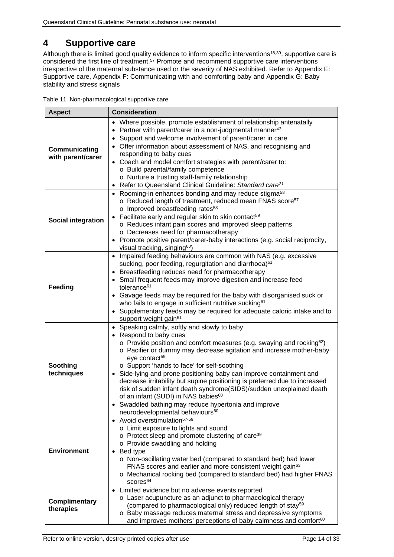# <span id="page-13-0"></span>**4 Supportive care**

Although there is limited good quality evidence to inform specific interventions<sup>18,39</sup>, supportive care is considered the first line of treatment.57 Promote and recommend supportive care interventions irrespective of the maternal substance used or the severity of NAS exhibited. Refer to [Appendix E:](#page-28-0)  [Supportive care,](#page-28-0) [Appendix F: Communicating with and comforting baby](#page-29-0) and [Appendix G: Baby](#page-30-0)  stability [and stress signals](#page-30-0)

<span id="page-13-1"></span>

|  |  | Table 11. Non-pharmacological supportive care |  |
|--|--|-----------------------------------------------|--|
|  |  |                                               |  |

| <b>Aspect</b>                      | <b>Consideration</b>                                                                                                                                                                                                                                                                                                                                                                                                                                                                                                                                                                                                                                                                                                |  |  |  |
|------------------------------------|---------------------------------------------------------------------------------------------------------------------------------------------------------------------------------------------------------------------------------------------------------------------------------------------------------------------------------------------------------------------------------------------------------------------------------------------------------------------------------------------------------------------------------------------------------------------------------------------------------------------------------------------------------------------------------------------------------------------|--|--|--|
| Communicating<br>with parent/carer | • Where possible, promote establishment of relationship antenatally<br>• Partner with parent/carer in a non-judgmental manner <sup>43</sup><br>Support and welcome involvement of parent/carer in care<br>$\bullet$<br>• Offer information about assessment of NAS, and recognising and<br>responding to baby cues<br>• Coach and model comfort strategies with parent/carer to:<br>o Build parental/family competence<br>o Nurture a trusting staff-family relationship<br>Refer to Queensland Clinical Guideline: Standard care <sup>21</sup>                                                                                                                                                                     |  |  |  |
| <b>Social integration</b>          | • Rooming-in enhances bonding and may reduce stigma <sup>58</sup><br>o Reduced length of treatment, reduced mean FNAS score <sup>57</sup><br>o Improved breastfeeding rates <sup>58</sup><br>Facilitate early and regular skin to skin contact <sup>59</sup><br>o Reduces infant pain scores and improved sleep patterns<br>o Decreases need for pharmacotherapy<br>• Promote positive parent/carer-baby interactions (e.g. social reciprocity,<br>visual tracking, singing <sup>60</sup> )                                                                                                                                                                                                                         |  |  |  |
| Feeding                            | • Impaired feeding behaviours are common with NAS (e.g. excessive<br>sucking, poor feeding, regurgitation and diarrhoea) <sup>61</sup><br>• Breastfeeding reduces need for pharmacotherapy<br>• Small frequent feeds may improve digestion and increase feed<br>tolerance <sup>61</sup><br>• Gavage feeds may be required for the baby with disorganised suck or<br>who fails to engage in sufficient nutritive sucking <sup>61</sup><br>• Supplementary feeds may be required for adequate caloric intake and to<br>support weight gain <sup>61</sup>                                                                                                                                                              |  |  |  |
| Soothing<br>techniques             | • Speaking calmly, softly and slowly to baby<br>• Respond to baby cues<br>$\circ$ Provide position and comfort measures (e.g. swaying and rocking <sup>62</sup> )<br>o Pacifier or dummy may decrease agitation and increase mother-baby<br>eye contact <sup>59</sup><br>o Support 'hands to face' for self-soothing<br>Side-lying and prone positioning baby can improve containment and<br>$\bullet$<br>decrease irritability but supine positioning is preferred due to increased<br>risk of sudden infant death syndrome(SIDS)/sudden unexplained death<br>of an infant (SUDI) in NAS babies <sup>60</sup><br>Swaddled bathing may reduce hypertonia and improve<br>neurodevelopmental behaviours <sup>60</sup> |  |  |  |
| <b>Environment</b>                 | • Avoid overstimulation <sup>57-59</sup><br>o Limit exposure to lights and sound<br>o Protect sleep and promote clustering of care <sup>39</sup><br>o Provide swaddling and holding<br>$\bullet$ Bed type<br>o Non-oscillating water bed (compared to standard bed) had lower<br>FNAS scores and earlier and more consistent weight gain <sup>63</sup><br>o Mechanical rocking bed (compared to standard bed) had higher FNAS<br>scores <sup>64</sup>                                                                                                                                                                                                                                                               |  |  |  |
| Complimentary<br>therapies         | • Limited evidence but no adverse events reported<br>o Laser acupuncture as an adjunct to pharmacological therapy<br>(compared to pharmacological only) reduced length of stay <sup>59</sup><br>o Baby massage reduces maternal stress and depressive symptoms<br>and improves mothers' perceptions of baby calmness and comfort <sup>60</sup>                                                                                                                                                                                                                                                                                                                                                                      |  |  |  |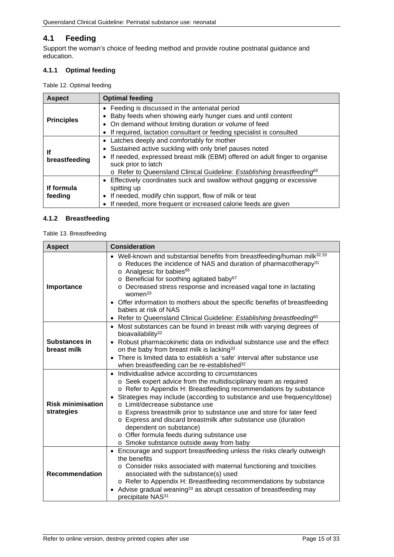### <span id="page-14-0"></span>**4.1 Feeding**

Support the woman's choice of feeding method and provide routine postnatal guidance and education.

### <span id="page-14-1"></span>**4.1.1 Optimal feeding**

<span id="page-14-3"></span>Table 12. Optimal feeding

| <b>Aspect</b>                                                                                                                                                                                                                                                         | <b>Optimal feeding</b>                                                                                                                                                                                                                                                                                        |  |  |
|-----------------------------------------------------------------------------------------------------------------------------------------------------------------------------------------------------------------------------------------------------------------------|---------------------------------------------------------------------------------------------------------------------------------------------------------------------------------------------------------------------------------------------------------------------------------------------------------------|--|--|
| • Feeding is discussed in the antenatal period<br>Baby feeds when showing early hunger cues and until content<br><b>Principles</b><br>• On demand without limiting duration or volume of feed<br>If required, lactation consultant or feeding specialist is consulted |                                                                                                                                                                                                                                                                                                               |  |  |
| lf<br>breastfeeding                                                                                                                                                                                                                                                   | • Latches deeply and comfortably for mother<br>Sustained active suckling with only brief pauses noted<br>If needed, expressed breast milk (EBM) offered on adult finger to organise<br>$\bullet$<br>suck prior to latch<br>o Refer to Queensland Clinical Guideline: Establishing breastfeeding <sup>65</sup> |  |  |
| If formula<br>feeding                                                                                                                                                                                                                                                 | Effectively coordinates suck and swallow without gagging or excessive<br>spitting up<br>If needed, modify chin support, flow of milk or teat<br>If needed, more frequent or increased calorie feeds are given                                                                                                 |  |  |

#### <span id="page-14-2"></span>**4.1.2 Breastfeeding**

<span id="page-14-4"></span>Table 13. Breastfeeding

| <b>Aspect</b>                          | <b>Consideration</b>                                                                                                                                                                                                                                                                                                                                                                                                                                                                                                                                                           |  |  |  |
|----------------------------------------|--------------------------------------------------------------------------------------------------------------------------------------------------------------------------------------------------------------------------------------------------------------------------------------------------------------------------------------------------------------------------------------------------------------------------------------------------------------------------------------------------------------------------------------------------------------------------------|--|--|--|
| Importance                             | • Well-known and substantial benefits from breastfeeding/human milk <sup>32,33</sup><br>$\circ$ Reduces the incidence of NAS and duration of pharmacotherapy <sup>31</sup><br>o Analgesic for babies <sup>66</sup><br>o Beneficial for soothing agitated baby <sup>67</sup><br>o Decreased stress response and increased vagal tone in lactating<br>women <sup>33</sup><br>Offer information to mothers about the specific benefits of breastfeeding<br>$\bullet$<br>babies at risk of NAS<br>Refer to Queensland Clinical Guideline: Establishing breastfeeding <sup>65</sup> |  |  |  |
| Substances in<br>breast milk           | • Most substances can be found in breast milk with varying degrees of<br>bioavailability <sup>32</sup><br>Robust pharmacokinetic data on individual substance use and the effect<br>$\bullet$<br>on the baby from breast milk is lacking <sup>32</sup><br>There is limited data to establish a 'safe' interval after substance use<br>$\bullet$<br>when breastfeeding can be re-established <sup>32</sup>                                                                                                                                                                      |  |  |  |
| <b>Risk minimisation</b><br>strategies | • Individualise advice according to circumstances<br>o Seek expert advice from the multidisciplinary team as required<br>o Refer to Appendix H: Breastfeeding recommendations by substance<br>Strategies may include (according to substance and use frequency/dose)<br>o Limit/decrease substance use<br>o Express breastmilk prior to substance use and store for later feed<br>o Express and discard breastmilk after substance use (duration<br>dependent on substance)<br>o Offer formula feeds during substance use<br>o Smoke substance outside away from baby          |  |  |  |
| <b>Recommendation</b>                  | Encourage and support breastfeeding unless the risks clearly outweigh<br>$\bullet$<br>the benefits<br>o Consider risks associated with maternal functioning and toxicities<br>associated with the substance(s) used<br>o Refer to Appendix H: Breastfeeding recommendations by substance<br>Advise gradual weaning <sup>33</sup> as abrupt cessation of breastfeeding may<br>precipitate NAS <sup>31</sup>                                                                                                                                                                     |  |  |  |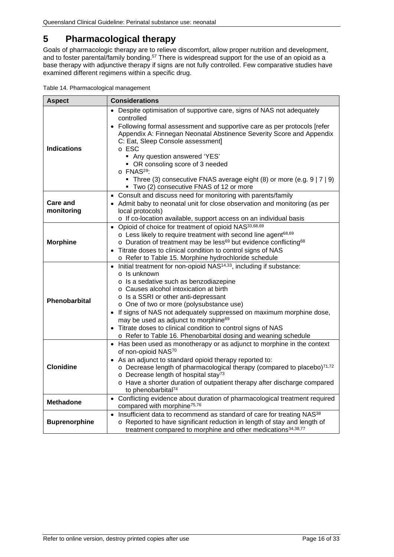# <span id="page-15-0"></span>**5 Pharmacological therapy**

Goals of pharmacologic therapy are to relieve discomfort, allow proper nutrition and development, and to foster parental/family bonding.<sup>57</sup> There is widespread support for the use of an opioid as a base therapy with adjunctive therapy if signs are not fully controlled. Few comparative studies have examined different regimens within a specific drug.

<span id="page-15-1"></span>

| <b>Aspect</b>                                                                                                                                                                                                                                                                  | <b>Considerations</b>                                                                                                                                                                                                                                                                                                                                                                                                                                                                                                                       |  |  |  |
|--------------------------------------------------------------------------------------------------------------------------------------------------------------------------------------------------------------------------------------------------------------------------------|---------------------------------------------------------------------------------------------------------------------------------------------------------------------------------------------------------------------------------------------------------------------------------------------------------------------------------------------------------------------------------------------------------------------------------------------------------------------------------------------------------------------------------------------|--|--|--|
| <b>Indications</b>                                                                                                                                                                                                                                                             | Despite optimisation of supportive care, signs of NAS not adequately<br>controlled<br>• Following formal assessment and supportive care as per protocols [refer<br>Appendix A: Finnegan Neonatal Abstinence Severity Score and Appendix<br>C: Eat, Sleep Console assessment]<br>o ESC<br>• Any question answered 'YES'<br>• OR consoling score of 3 needed<br>o FNAS <sup>29</sup> :<br>• Three (3) consecutive FNAS average eight (8) or more (e.g. 9   7   9)<br>Two (2) consecutive FNAS of 12 or more                                   |  |  |  |
| • Consult and discuss need for monitoring with parents/family<br><b>Care and</b><br>• Admit baby to neonatal unit for close observation and monitoring (as per<br>monitoring<br>local protocols)                                                                               |                                                                                                                                                                                                                                                                                                                                                                                                                                                                                                                                             |  |  |  |
| <b>Morphine</b>                                                                                                                                                                                                                                                                | o If co-location available, support access on an individual basis<br>• Opioid of choice for treatment of opioid NAS33,68,69<br>o Less likely to require treatment with second line agent <sup>68,69</sup><br>o Duration of treatment may be less <sup>69</sup> but evidence conflicting <sup>68</sup><br>Titrate doses to clinical condition to control signs of NAS<br>o Refer to Table 15. Morphine hydrochloride schedule                                                                                                                |  |  |  |
| Phenobarbital                                                                                                                                                                                                                                                                  | Initial treatment for non-opioid NAS <sup>14,33</sup> , including if substance:<br>$\circ$ Is unknown<br>o Is a sedative such as benzodiazepine<br>o Causes alcohol intoxication at birth<br>o Is a SSRI or other anti-depressant<br>o One of two or more (polysubstance use)<br>• If signs of NAS not adequately suppressed on maximum morphine dose,<br>may be used as adjunct to morphine <sup>69</sup><br>Titrate doses to clinical condition to control signs of NAS<br>o Refer to Table 16. Phenobarbital dosing and weaning schedule |  |  |  |
| <b>Clonidine</b>                                                                                                                                                                                                                                                               | Has been used as monotherapy or as adjunct to morphine in the context<br>of non-opioid NAS70<br>• As an adjunct to standard opioid therapy reported to:<br>o Decrease length of pharmacological therapy (compared to placebo)71,72<br>o Decrease length of hospital stay <sup>73</sup><br>o Have a shorter duration of outpatient therapy after discharge compared<br>to phenobarbital <sup>74</sup>                                                                                                                                        |  |  |  |
| Conflicting evidence about duration of pharmacological treatment required<br><b>Methadone</b><br>compared with morphine <sup>75,76</sup>                                                                                                                                       |                                                                                                                                                                                                                                                                                                                                                                                                                                                                                                                                             |  |  |  |
| Insufficient data to recommend as standard of care for treating NAS <sup>38</sup><br>$\bullet$<br>o Reported to have significant reduction in length of stay and length of<br><b>Buprenorphine</b><br>treatment compared to morphine and other medications <sup>34,38,77</sup> |                                                                                                                                                                                                                                                                                                                                                                                                                                                                                                                                             |  |  |  |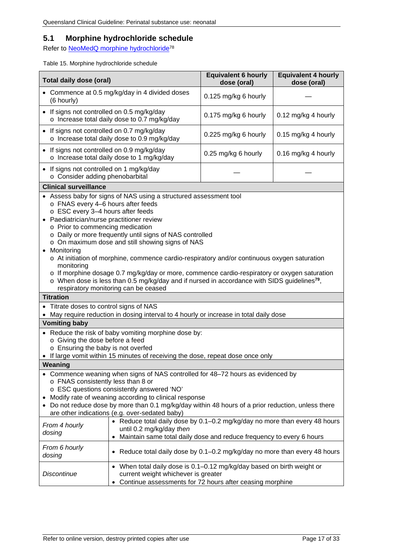### <span id="page-16-0"></span>**5.1 Morphine hydrochloride schedule**

Refer to **NeoMedQ** morphine hydrochloride<sup>78</sup>

<span id="page-16-1"></span>Table 15. Morphine hydrochloride schedule

| <b>Total daily dose (oral)</b>                                                                                                                                                                                                                                                                                                                                                                                                                                                                                                                                                                                                                                                                                                                    |                                                                                                                                                                                             | <b>Equivalent 6 hourly</b><br>dose (oral) | <b>Equivalent 4 hourly</b><br>dose (oral) |  |
|---------------------------------------------------------------------------------------------------------------------------------------------------------------------------------------------------------------------------------------------------------------------------------------------------------------------------------------------------------------------------------------------------------------------------------------------------------------------------------------------------------------------------------------------------------------------------------------------------------------------------------------------------------------------------------------------------------------------------------------------------|---------------------------------------------------------------------------------------------------------------------------------------------------------------------------------------------|-------------------------------------------|-------------------------------------------|--|
| (6 hourly)                                                                                                                                                                                                                                                                                                                                                                                                                                                                                                                                                                                                                                                                                                                                        | • Commence at 0.5 mg/kg/day in 4 divided doses                                                                                                                                              | 0.125 mg/kg 6 hourly                      |                                           |  |
| • If signs not controlled on 0.5 mg/kg/day                                                                                                                                                                                                                                                                                                                                                                                                                                                                                                                                                                                                                                                                                                        | o Increase total daily dose to 0.7 mg/kg/day                                                                                                                                                | 0.175 mg/kg 6 hourly                      | 0.12 mg/kg 4 hourly                       |  |
| If signs not controlled on 0.7 mg/kg/day<br>٠                                                                                                                                                                                                                                                                                                                                                                                                                                                                                                                                                                                                                                                                                                     | o Increase total daily dose to 0.9 mg/kg/day                                                                                                                                                | 0.225 mg/kg 6 hourly                      | 0.15 mg/kg 4 hourly                       |  |
| If signs not controlled on 0.9 mg/kg/day<br>$\bullet$                                                                                                                                                                                                                                                                                                                                                                                                                                                                                                                                                                                                                                                                                             | o Increase total daily dose to 1 mg/kg/day                                                                                                                                                  | 0.25 mg/kg 6 hourly                       | 0.16 mg/kg 4 hourly                       |  |
| If signs not controlled on 1 mg/kg/day<br>٠<br>o Consider adding phenobarbital                                                                                                                                                                                                                                                                                                                                                                                                                                                                                                                                                                                                                                                                    |                                                                                                                                                                                             |                                           |                                           |  |
| <b>Clinical surveillance</b>                                                                                                                                                                                                                                                                                                                                                                                                                                                                                                                                                                                                                                                                                                                      |                                                                                                                                                                                             |                                           |                                           |  |
| Assess baby for signs of NAS using a structured assessment tool<br>o FNAS every 4-6 hours after feeds<br>o ESC every 3-4 hours after feeds<br>Paediatrician/nurse practitioner review<br>o Prior to commencing medication<br>o Daily or more frequently until signs of NAS controlled<br>o On maximum dose and still showing signs of NAS<br>Monitoring<br>$\bullet$<br>$\circ$ At initiation of morphine, commence cardio-respiratory and/or continuous oxygen saturation<br>monitoring<br>o If morphine dosage 0.7 mg/kg/day or more, commence cardio-respiratory or oxygen saturation<br>$\circ$ When dose is less than 0.5 mg/kg/day and if nursed in accordance with SIDS guidelines <sup>79</sup> ,<br>respiratory monitoring can be ceased |                                                                                                                                                                                             |                                           |                                           |  |
| <b>Titration</b>                                                                                                                                                                                                                                                                                                                                                                                                                                                                                                                                                                                                                                                                                                                                  |                                                                                                                                                                                             |                                           |                                           |  |
| • Titrate doses to control signs of NAS                                                                                                                                                                                                                                                                                                                                                                                                                                                                                                                                                                                                                                                                                                           |                                                                                                                                                                                             |                                           |                                           |  |
|                                                                                                                                                                                                                                                                                                                                                                                                                                                                                                                                                                                                                                                                                                                                                   | May require reduction in dosing interval to 4 hourly or increase in total daily dose                                                                                                        |                                           |                                           |  |
| <b>Vomiting baby</b>                                                                                                                                                                                                                                                                                                                                                                                                                                                                                                                                                                                                                                                                                                                              |                                                                                                                                                                                             |                                           |                                           |  |
| o Giving the dose before a feed                                                                                                                                                                                                                                                                                                                                                                                                                                                                                                                                                                                                                                                                                                                   | • Reduce the risk of baby vomiting morphine dose by:                                                                                                                                        |                                           |                                           |  |
| o Ensuring the baby is not overfed                                                                                                                                                                                                                                                                                                                                                                                                                                                                                                                                                                                                                                                                                                                |                                                                                                                                                                                             |                                           |                                           |  |
|                                                                                                                                                                                                                                                                                                                                                                                                                                                                                                                                                                                                                                                                                                                                                   | If large vomit within 15 minutes of receiving the dose, repeat dose once only                                                                                                               |                                           |                                           |  |
| Weaning<br>• Commence weaning when signs of NAS controlled for 48-72 hours as evidenced by<br>o FNAS consistently less than 8 or<br>o ESC questions consistently answered 'NO'<br>Modify rate of weaning according to clinical response<br>Do not reduce dose by more than 0.1 mg/kg/day within 48 hours of a prior reduction, unless there<br>are other indications (e.g. over-sedated baby)                                                                                                                                                                                                                                                                                                                                                     |                                                                                                                                                                                             |                                           |                                           |  |
| From 4 hourly<br>dosing                                                                                                                                                                                                                                                                                                                                                                                                                                                                                                                                                                                                                                                                                                                           | • Reduce total daily dose by 0.1-0.2 mg/kg/day no more than every 48 hours<br>until 0.2 mg/kg/day then<br>Maintain same total daily dose and reduce frequency to every 6 hours<br>$\bullet$ |                                           |                                           |  |
| From 6 hourly<br>dosing                                                                                                                                                                                                                                                                                                                                                                                                                                                                                                                                                                                                                                                                                                                           | • Reduce total daily dose by 0.1-0.2 mg/kg/day no more than every 48 hours                                                                                                                  |                                           |                                           |  |
| <b>Discontinue</b>                                                                                                                                                                                                                                                                                                                                                                                                                                                                                                                                                                                                                                                                                                                                | • When total daily dose is 0.1-0.12 mg/kg/day based on birth weight or<br>current weight whichever is greater<br>Continue assessments for 72 hours after ceasing morphine                   |                                           |                                           |  |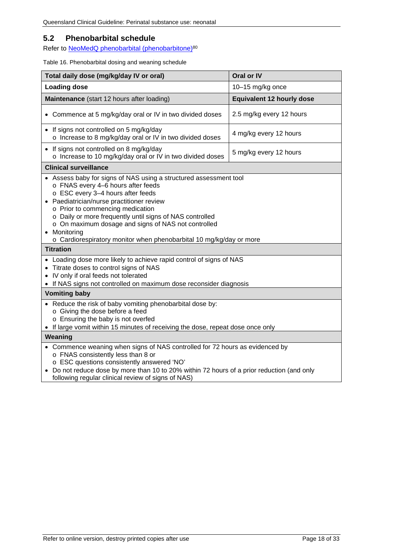### <span id="page-17-0"></span>**5.2 Phenobarbital schedule**

Refer to NeoMedQ phenobarbital (phenobarbitone)<sup>80</sup>

#### <span id="page-17-1"></span>Table 16. Phenobarbital dosing and weaning schedule

| Total daily dose (mg/kg/day IV or oral)                                                                                                                                                                                                                                                                                                                                                                                                                     | Oral or IV                       |  |  |  |  |
|-------------------------------------------------------------------------------------------------------------------------------------------------------------------------------------------------------------------------------------------------------------------------------------------------------------------------------------------------------------------------------------------------------------------------------------------------------------|----------------------------------|--|--|--|--|
| <b>Loading dose</b>                                                                                                                                                                                                                                                                                                                                                                                                                                         | 10-15 mg/kg once                 |  |  |  |  |
| Maintenance (start 12 hours after loading)                                                                                                                                                                                                                                                                                                                                                                                                                  | <b>Equivalent 12 hourly dose</b> |  |  |  |  |
| 2.5 mg/kg every 12 hours<br>• Commence at 5 mg/kg/day oral or IV in two divided doses                                                                                                                                                                                                                                                                                                                                                                       |                                  |  |  |  |  |
| • If signs not controlled on 5 mg/kg/day<br>4 mg/kg every 12 hours<br>o Increase to 8 mg/kg/day oral or IV in two divided doses                                                                                                                                                                                                                                                                                                                             |                                  |  |  |  |  |
| • If signs not controlled on 8 mg/kg/day<br>o Increase to 10 mg/kg/day oral or IV in two divided doses                                                                                                                                                                                                                                                                                                                                                      | 5 mg/kg every 12 hours           |  |  |  |  |
| <b>Clinical surveillance</b>                                                                                                                                                                                                                                                                                                                                                                                                                                |                                  |  |  |  |  |
| • Assess baby for signs of NAS using a structured assessment tool<br>o FNAS every 4-6 hours after feeds<br>o ESC every 3-4 hours after feeds<br>• Paediatrician/nurse practitioner review<br>o Prior to commencing medication<br>o Daily or more frequently until signs of NAS controlled<br>o On maximum dosage and signs of NAS not controlled<br>• Monitoring<br>o Cardiorespiratory monitor when phenobarbital 10 mg/kg/day or more<br><b>Titration</b> |                                  |  |  |  |  |
|                                                                                                                                                                                                                                                                                                                                                                                                                                                             |                                  |  |  |  |  |
| • Loading dose more likely to achieve rapid control of signs of NAS<br>• Titrate doses to control signs of NAS<br>• IV only if oral feeds not tolerated<br>• If NAS signs not controlled on maximum dose reconsider diagnosis                                                                                                                                                                                                                               |                                  |  |  |  |  |
| <b>Vomiting baby</b>                                                                                                                                                                                                                                                                                                                                                                                                                                        |                                  |  |  |  |  |
| • Reduce the risk of baby vomiting phenobarbital dose by:<br>o Giving the dose before a feed<br>o Ensuring the baby is not overfed<br>• If large vomit within 15 minutes of receiving the dose, repeat dose once only                                                                                                                                                                                                                                       |                                  |  |  |  |  |
| Weaning                                                                                                                                                                                                                                                                                                                                                                                                                                                     |                                  |  |  |  |  |
| • Commence weaning when signs of NAS controlled for 72 hours as evidenced by<br>o FNAS consistently less than 8 or<br>o ESC questions consistently answered 'NO'<br>• Do not reduce dose by more than 10 to 20% within 72 hours of a prior reduction (and only<br>following regular clinical review of signs of NAS)                                                                                                                                        |                                  |  |  |  |  |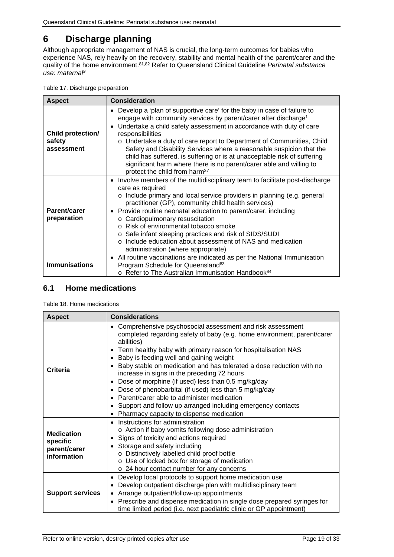# <span id="page-18-0"></span>**6 Discharge planning**

Although appropriate management of NAS is crucial, the long-term outcomes for babies who experience NAS, rely heavily on the recovery, stability and mental health of the parent/carer and the quality of the home environment. 81,82 Refer to Queensland Clinical Guideline *Perinatal substance use: maternal9*

<span id="page-18-2"></span>

| <b>Aspect</b>                                    | <b>Consideration</b>                                                                                                                                                                                                                                                                                                                                                                                                                                                                                                                                                                                                        |
|--------------------------------------------------|-----------------------------------------------------------------------------------------------------------------------------------------------------------------------------------------------------------------------------------------------------------------------------------------------------------------------------------------------------------------------------------------------------------------------------------------------------------------------------------------------------------------------------------------------------------------------------------------------------------------------------|
| <b>Child protection/</b><br>safety<br>assessment | Develop a 'plan of supportive care' for the baby in case of failure to<br>$\bullet$<br>engage with community services by parent/carer after discharge <sup>1</sup><br>Undertake a child safety assessment in accordance with duty of care<br>$\bullet$<br>responsibilities<br>o Undertake a duty of care report to Department of Communities, Child<br>Safety and Disability Services where a reasonable suspicion that the<br>child has suffered, is suffering or is at unacceptable risk of suffering<br>significant harm where there is no parent/carer able and willing to<br>protect the child from harm <sup>27</sup> |
| Parent/carer<br>preparation                      | • Involve members of the multidisciplinary team to facilitate post-discharge<br>care as required<br>o Include primary and local service providers in planning (e.g. general<br>practitioner (GP), community child health services)<br>Provide routine neonatal education to parent/carer, including<br>o Cardiopulmonary resuscitation<br>○ Risk of environmental tobacco smoke<br>○ Safe infant sleeping practices and risk of SIDS/SUDI<br>o Include education about assessment of NAS and medication<br>administration (where appropriate)                                                                               |
| <b>Immunisations</b>                             | • All routine vaccinations are indicated as per the National Immunisation<br>Program Schedule for Queensland <sup>83</sup><br>o Refer to The Australian Immunisation Handbook <sup>84</sup>                                                                                                                                                                                                                                                                                                                                                                                                                                 |

### <span id="page-18-1"></span>**6.1 Home medications**

<span id="page-18-3"></span>Table 18. Home medications

| <b>Aspect</b>                                                | <b>Considerations</b>                                                                                                                                                                                                                                                                                                                                                                                                                                                                                                                                                                                                                                                                                                      |
|--------------------------------------------------------------|----------------------------------------------------------------------------------------------------------------------------------------------------------------------------------------------------------------------------------------------------------------------------------------------------------------------------------------------------------------------------------------------------------------------------------------------------------------------------------------------------------------------------------------------------------------------------------------------------------------------------------------------------------------------------------------------------------------------------|
| Criteria                                                     | Comprehensive psychosocial assessment and risk assessment<br>$\bullet$<br>completed regarding safety of baby (e.g. home environment, parent/carer<br>abilities)<br>Term healthy baby with primary reason for hospitalisation NAS<br>٠<br>Baby is feeding well and gaining weight<br>٠<br>Baby stable on medication and has tolerated a dose reduction with no<br>٠<br>increase in signs in the preceding 72 hours<br>Dose of morphine (if used) less than 0.5 mg/kg/day<br>٠<br>Dose of phenobarbital (if used) less than 5 mg/kg/day<br>٠<br>Parent/carer able to administer medication<br>$\bullet$<br>Support and follow up arranged including emergency contacts<br>٠<br>Pharmacy capacity to dispense medication<br>٠ |
| <b>Medication</b><br>specific<br>parent/carer<br>information | Instructions for administration<br>o Action if baby vomits following dose administration<br>Signs of toxicity and actions required<br>$\bullet$<br>Storage and safety including<br>$\bullet$<br>o Distinctively labelled child proof bottle<br>o Use of locked box for storage of medication<br>o 24 hour contact number for any concerns                                                                                                                                                                                                                                                                                                                                                                                  |
| <b>Support services</b>                                      | Develop local protocols to support home medication use<br>٠<br>Develop outpatient discharge plan with multidisciplinary team<br>٠<br>Arrange outpatient/follow-up appointments<br>$\bullet$<br>• Prescribe and dispense medication in single dose prepared syringes for<br>time limited period (i.e. next paediatric clinic or GP appointment)                                                                                                                                                                                                                                                                                                                                                                             |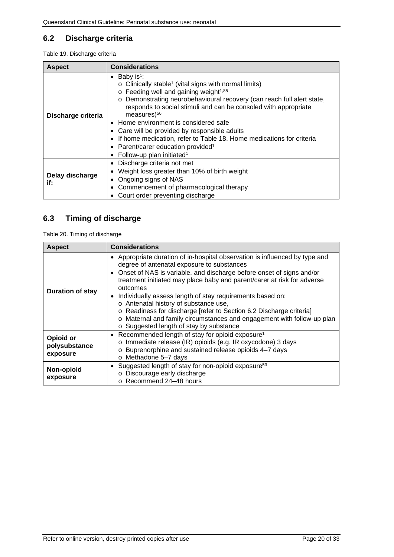### <span id="page-19-0"></span>**6.2 Discharge criteria**

<span id="page-19-2"></span>Table 19. Discharge criteria

| <b>Aspect</b>          | <b>Considerations</b>                                                                                                                                                                                                                                                                                                                                                                                                                                                                                                                                                                       |
|------------------------|---------------------------------------------------------------------------------------------------------------------------------------------------------------------------------------------------------------------------------------------------------------------------------------------------------------------------------------------------------------------------------------------------------------------------------------------------------------------------------------------------------------------------------------------------------------------------------------------|
| Discharge criteria     | • Baby is <sup>1</sup> :<br>$\circ$ Clinically stable <sup>1</sup> (vital signs with normal limits)<br>$\circ$ Feeding well and gaining weight <sup>1,85</sup><br>o Demonstrating neurobehavioural recovery (can reach full alert state,<br>responds to social stimuli and can be consoled with appropriate<br>measures $56$<br>• Home environment is considered safe<br>• Care will be provided by responsible adults<br>If home medication, refer to Table 18. Home medications for criteria<br>• Parent/carer education provided <sup>1</sup><br>• Follow-up plan initiated <sup>1</sup> |
| Delay discharge<br>if: | • Discharge criteria not met<br>Weight loss greater than 10% of birth weight<br>Ongoing signs of NAS<br>Commencement of pharmacological therapy<br>Court order preventing discharge                                                                                                                                                                                                                                                                                                                                                                                                         |

### <span id="page-19-1"></span>**6.3 Timing of discharge**

<span id="page-19-3"></span>Table 20. Timing of discharge

| <b>Aspect</b>                          | <b>Considerations</b>                                                                                                                                                                                                                                                                                                                                                                                                                                                                                                                                                                                   |
|----------------------------------------|---------------------------------------------------------------------------------------------------------------------------------------------------------------------------------------------------------------------------------------------------------------------------------------------------------------------------------------------------------------------------------------------------------------------------------------------------------------------------------------------------------------------------------------------------------------------------------------------------------|
| <b>Duration of stay</b>                | • Appropriate duration of in-hospital observation is influenced by type and<br>degree of antenatal exposure to substances<br>• Onset of NAS is variable, and discharge before onset of signs and/or<br>treatment initiated may place baby and parent/carer at risk for adverse<br>outcomes<br>• Individually assess length of stay requirements based on:<br>o Antenatal history of substance use,<br>o Readiness for discharge [refer to Section 6.2 Discharge criteria]<br>Maternal and family circumstances and engagement with follow-up plan<br>$\circ$<br>o Suggested length of stay by substance |
| Opioid or<br>polysubstance<br>exposure | • Recommended length of stay for opioid exposure <sup>1</sup><br>o Immediate release (IR) opioids (e.g. IR oxycodone) 3 days<br>Buprenorphine and sustained release opioids 4-7 days<br>$\circ$<br>o Methadone 5-7 days                                                                                                                                                                                                                                                                                                                                                                                 |
| Non-opioid<br>exposure                 | Suggested length of stay for non-opioid exposure <sup>53</sup><br>$\bullet$<br>Discourage early discharge<br>$\circ$<br>o Recommend 24-48 hours                                                                                                                                                                                                                                                                                                                                                                                                                                                         |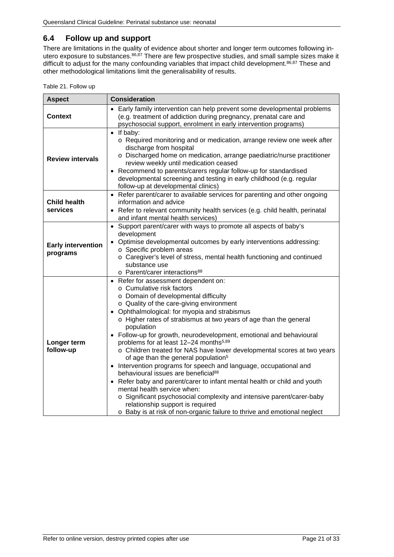### <span id="page-20-0"></span>**6.4 Follow up and support**

There are limitations in the quality of evidence about shorter and longer term outcomes following inutero exposure to substances. 86,87 There are few prospective studies, and small sample sizes make it difficult to adjust for the many confounding variables that impact child development.<sup>86,87</sup> These and other methodological limitations limit the generalisability of results.

<span id="page-20-1"></span>

| <b>Aspect</b>                         | <b>Consideration</b>                                                                                                                                                                                                                                                                                                                                                                                                                                                                                                                                                                                                                                                                                                                                                                                                                                                                                                                                                           |
|---------------------------------------|--------------------------------------------------------------------------------------------------------------------------------------------------------------------------------------------------------------------------------------------------------------------------------------------------------------------------------------------------------------------------------------------------------------------------------------------------------------------------------------------------------------------------------------------------------------------------------------------------------------------------------------------------------------------------------------------------------------------------------------------------------------------------------------------------------------------------------------------------------------------------------------------------------------------------------------------------------------------------------|
| <b>Context</b>                        | • Early family intervention can help prevent some developmental problems<br>(e.g. treatment of addiction during pregnancy, prenatal care and<br>psychosocial support, enrolment in early intervention programs)                                                                                                                                                                                                                                                                                                                                                                                                                                                                                                                                                                                                                                                                                                                                                                |
| <b>Review intervals</b>               | $\bullet$ If baby:<br>o Required monitoring and or medication, arrange review one week after<br>discharge from hospital<br>o Discharged home on medication, arrange paediatric/nurse practitioner<br>review weekly until medication ceased<br>• Recommend to parents/carers regular follow-up for standardised<br>developmental screening and testing in early childhood (e.g. regular<br>follow-up at developmental clinics)                                                                                                                                                                                                                                                                                                                                                                                                                                                                                                                                                  |
| <b>Child health</b><br>services       | • Refer parent/carer to available services for parenting and other ongoing<br>information and advice<br>Refer to relevant community health services (e.g. child health, perinatal<br>and infant mental health services)                                                                                                                                                                                                                                                                                                                                                                                                                                                                                                                                                                                                                                                                                                                                                        |
| <b>Early intervention</b><br>programs | • Support parent/carer with ways to promote all aspects of baby's<br>development<br>• Optimise developmental outcomes by early interventions addressing:<br>o Specific problem areas<br>o Caregiver's level of stress, mental health functioning and continued<br>substance use<br>o Parent/carer interactions <sup>88</sup>                                                                                                                                                                                                                                                                                                                                                                                                                                                                                                                                                                                                                                                   |
| Longer term<br>follow-up              | • Refer for assessment dependent on:<br>o Cumulative risk factors<br>o Domain of developmental difficulty<br>o Quality of the care-giving environment<br>• Ophthalmological: for myopia and strabismus<br>o Higher rates of strabismus at two years of age than the general<br>population<br>• Follow-up for growth, neurodevelopment, emotional and behavioural<br>problems for at least 12-24 months <sup>5,89</sup><br>o Children treated for NAS have lower developmental scores at two years<br>of age than the general population <sup>5</sup><br>Intervention programs for speech and language, occupational and<br>behavioural issues are beneficial <sup>88</sup><br>• Refer baby and parent/carer to infant mental health or child and youth<br>mental health service when:<br>o Significant psychosocial complexity and intensive parent/carer-baby<br>relationship support is required<br>o Baby is at risk of non-organic failure to thrive and emotional neglect |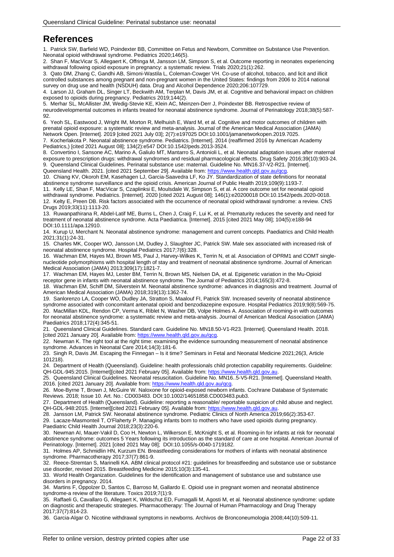## <span id="page-21-0"></span>**References**

1. Patrick SW, Barfield WD, Poindexter BB, Committee on Fetus and Newborn, Committee on Substance Use Prevention. Neonatal opioid withdrawal syndrome. Pediatrics 2020;146(5).

2. Shan F, MacVicar S, Allegaert K, Offringa M, Jansson LM, Simpson S, et al. Outcome reporting in neonates experiencing withdrawal following opioid exposure in pregnancy: a systematic review. Trials 2020;21(1):262.

3. Qato DM, Zhang C, Gandhi AB, Simoni-Wastila L, Coleman-Cowger VH. Co-use of alcohol, tobacco, and licit and illicit controlled substances among pregnant and non-pregnant women in the United States: findings from 2006 to 2014 national survey on drug use and health (NSDUH) data. Drug and Alcohol Dependence 2020;206:107729.

4. Larson JJ, Graham DL, Singer LT, Beckwith AM, Terplan M, Davis JM, et al. Cognitive and behavioral impact on children exposed to opioids during pregnancy. Pediatrics 2019;144(2).

5. Merhar SL, McAllister JM, Wedig-Stevie KE, Klein AC, Meinzen-Derr J, Poindexter BB. Retrospective review of neurodevelopmental outcomes in infants treated for neonatal abstinence syndrome. Journal of Perinatology 2018;38(5):587- 92.

6. Yeoh SL, Eastwood J, Wright IM, Morton R, Melhuish E, Ward M, et al. Cognitive and motor outcomes of children with prenatal opioid exposure: a systematic review and meta-analysis. Journal of the American Medical Association (JAMA) Network Open. [Internet]. 2019 [cited 2021 July 03]; 2(7):e197025 DOI:10.1001/jamanetworkopen.2019.7025.

7. Kocherlakota P. Neonatal abstinence syndrome. Pediatrics. [Internet]. 2014 (reaffirmed 2016 by American Academy Pediatrics,) [cited 2021 August 08]; 134(2):e547 DOI:10.1542/peds.2013-3524.

8. Convertino I, Sansone AC, Marino A, Galiulo MT, Mantarro S, Antonioli L, et al. Neonatal adaptation issues after maternal exposure to prescription drugs: withdrawal syndromes and residual pharmacological effects. Drug Safety 2016;39(10):903-24. 9. Queensland Clinical Guidelines. Perinatal substance use: maternal. Guideline No. MN16.37-V2-R21. [Internet]. Queensland Health. 2021. [cited 2021 September 29]. Available from: [https://www.health.qld.gov.au/qcg.](https://www.health.qld.gov.au/qcg)

10. Chiang KV, Okoroh EM, Kasehagen LJ, Garcia-Saavedra LF, Ko JY. Standardization of state definitions for neonatal abstinence syndrome surveillance and the opioid crisis. American Journal of Public Health 2019;109(9):1193-7.

11. Kelly LE, Shan F, MacVicar S, Czaplinksi E, Moulsdale W, Simpson S, et al. A core outcome set for neonatal opioid withdrawal syndrome. Pediatrics. [Internet]. 2020 [cited 2021 August 08]; 146(1):e20200018 DOI:10.1542/peds.2020-0018. 12. Kelty E, Preen DB. Risk factors associated with the occurrence of neonatal opioid withdrawal syndrome: a review. CNS Drugs 2019;33(11):1113-20.

13. Ruwanpathirana R, Abdel-Latif ME, Burns L, Chen J, Craig F, Lui K, et al. Prematurity reduces the severity and need for treatment of neonatal abstinence syndrome. Acta Paediatrica. [Internet]. 2015 [cited 2021 May 08]; 104(5):e188-94 DOI:10.1111/apa.12910.

14. Kurup U, Merchant N. Neonatal abstinence syndrome: management and current concepts. Paediatrics and Child Health 2021;31(1):24-31.

15. Charles MK, Cooper WO, Jansson LM, Dudley J, Slaughter JC, Patrick SW. Male sex associated with increased risk of neonatal abstinence syndrome. Hospital Pediatrics 2017;7(6):328.

16. Wachman EM, Hayes MJ, Brown MS, Paul J, Harvey-Wilkes K, Terrin N, et al. Association of OPRM1 and COMT singlenucleotide polymorphisms with hospital length of stay and treatment of neonatal abstinence syndrome. Journal of American Medical Association (JAMA) 2013;309(17):1821-7.

17. Wachman EM, Hayes MJ, Lester BM, Terrin N, Brown MS, Nielsen DA, et al. Epigenetic variation in the Mu-Opioid receptor gene in infants with neonatal abstinence syndrome. The Journal of Pediatrics 2014;165(3):472-8.

18. Wachman EM, Schiff DM, Silverstein M. Neonatal abstinence syndrome: advances in diagnosis and treatment. Journal of American Medical Association (JAMA) 2018;319(13):1362-74.

19. Sanlorenzo LA, Cooper WO, Dudley JA, Stratton S, Maalouf FI, Patrick SW. Increased severity of neonatal abstinence syndrome associated with concomitant antenatal opioid and benzodiazepine exposure. Hospital Pediatrics 2019;9(8):569-75. 20. MacMillan KDL, Rendon CP, Verma K, Riblet N, Washer DB, Volpe Holmes A. Association of rooming-in with outcomes for neonatal abstinence syndrome: a systematic review and meta-analysis. Journal of American Medical Association (JAMA) Paediatrics 2018;172(4):345-51.

21. Queensland Clinical Guidelines. Standard care. Guideline No. MN18.50-V1-R23. [Internet]. Queensland Health. 2018. [cited 2021 January 20]. Available from: [https://www.health.qld.gov.au/qcg.](https://www.health.qld.gov.au/qcg)

22. Newman K. The right tool at the right time: examining the evidence surrounding measurement of neonatal abstinence syndrome. Advances in Neonatal Care 2014;14(3):181-6.

23. Singh R, Davis JM. Escaping the Finnegan – Is it time? Seminars in Fetal and Neonatal Medicine 2021;26(3, Article 101218).

24. Department of Health (Queensland). Guideline: health professionals child protection capability requirements. Guideline: QH-GDL-945:2015. [Internet][cited 2021 February 05]. Available from[: https://www.health.qld.gov.au.](https://www.health.qld.gov.au/)

25. Queensland Clinical Guidelines. Neonatal resuscitation. Guideline No. MN16..5-V5-R21. [Internet]. Queensland Health. 2016. [cited 2021 January 20]. Available from: https://www.health.qld.gov.au/qcg

26. Moe-Byrne T, Brown J, McGuire W. Naloxone for opioid-exposed newborn infants. Cochrane Database of Systematic Reviews. 2018; Issue 10. Art. No.: CD003483. DOI:10.1002/14651858.CD003483.pub3.

27. Department of Health (Queensland). Guideline: reporting a reasonable/ reportable suspicion of child abuse and neglect. QH-GDL-948:2015. [Internet][cited 2021 February 05]. Available from: https://www.health.qld.gov.au

28. Jansson LM, Patrick SW. Neonatal abstinence syndrome. Pediatric Clinics of North America 2019;66(2):353-67.

29. Lacaze-Masmonteil T, O'Flaherty P. Managing infants born to mothers who have used opioids during pregnancy. Paediatric Child Health Journal 2018;23(3):220-6.

30. Newman AI, Mauer-Vakil D, Coo H, Newton L, Wilkerson E, McKnight S, et al. Rooming-in for infants at risk for neonatal abstinence syndrome: outcomes 5 Years following its introduction as the standard of care at one hospital. American Journal of Perinatology. [Internet]. 2021 [cited 2021 May 08]; DOI:10.1055/s-0040-1719182.

31. Holmes AP, Schmidlin HN, Kurzum EN. Breastfeeding considerations for mothers of infants with neonatal abstinence syndrome. Pharmacotherapy 2017;37(7):861-9.

32. Reece-Stremtan S, Marinelli KA. ABM clinical protocol #21: guidelines for breastfeeding and substance use or substance use disorder, revised 2015. Breastfeeding Medicine 2015;10(3):135-41.

33. World Health Organization. Guidelines for the identification and management of substance use and substance use disorders in pregnancy. 2014.

34. Martins F, Oppolzer D, Santos C, Barroso M, Gallardo E. Opioid use in pregnant women and neonatal abstinence syndrome-a review of the literature. Toxics 2019;7(1):9.

35. Raffaeli G, Cavallaro G, Allegaert K, Wildschut ED, Fumagalli M, Agosti M, et al. Neonatal abstinence syndrome: update on diagnostic and therapeutic strategies. Pharmacotherapy: The Journal of Human Pharmacology and Drug Therapy 2017;37(7):814-23.

36. Garcia-Algar O. Nicotine withdrawal symptoms in newborns. Archivos de Bronconeumologia 2008;44(10):509-11.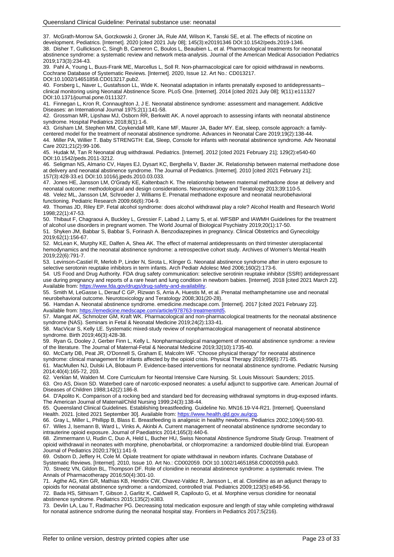37. McGrath-Morrow SA, Gorzkowski J, Groner JA, Rule AM, Wilson K, Tanski SE, et al. The effects of nicotine on development. Pediatrics. [Internet]. 2020 [cited 2021 July 08]; 145(3):e20191346 DOI:10.1542/peds.2019-1346. 38. Disher T, Gullickson C, Singh B, Cameron C, Boulos L, Beaubien L, et al. Pharmacological treatments for neonatal abstinence syndrome: a systematic review and network meta-analysis. Journal of the American Medical Association Pediatrics 2019;173(3):234-43.

39. Pahl A, Young L, Buus-Frank ME, Marcellus L, Soll R. Non‐pharmacological care for opioid withdrawal in newborns. Cochrane Database of Systematic Reviews. [Internet]. 2020, Issue 12. Art No.: CD013217. DOI:10.1002/14651858.CD013217.pub2.

40. Forsberg L, Naver L, Gustafsson LL, Wide K. Neonatal adaptation in infants prenatally exposed to antidepressants- clinical monitoring using Neonatal Abstinence Score. PLoS One. [Internet]. 2014 [cited 2021 July 08]; 9(11):e111327 DOI:10.1371/journal.pone.0111327.

41. Finnegan L, Kron R, Connaughton J, J E. Neonatal abstinence syndrome: assessment and management. Addictive Diseases: an International Journal 1975;2(1):141-58.

42. Grossman MR, Lipshaw MJ, Osborn RR, Berkwitt AK. A novel approach to assessing infants with neonatal abstinence syndrome. Hospital Pediatrics 2018;8(1):1-6.

43. Grisham LM, Stephen MM, Coykendall MR, Kane MF, Maurer JA, Bader MY. Eat, sleep, console approach: a familycentered model for the treatment of neonatal abstinence syndrome. Advances in Neonatal Care 2019;19(2):138-44. 44. Miller PA, Willier T. Baby STRENGTH: Eat, Sleep, Console for infants with neonatal abstinence syndrome. Adv Neonatal Care 2021;21(2):99-106.

45. Hudak M, Tan R Neonatal drug withdrawal. Pediatrics. [Internet]. 2012 [cited 2021 February 21]; 129(2):e540-60 DOI:10.1542/peds.2011-3212.

46. Seligman NS, Almario CV, Hayes EJ, Dysart KC, Berghella V, Baxter JK. Relationship between maternal methadone dose at delivery and neonatal abstinence syndrome. The Journal of Pediatrics. [Internet]. 2010 [cited 2021 February 21]; 157(3):428-33.e1 DOI:10.1016/j.jpeds.2010.03.033.

47. Jones HE, Jansson LM, O'Grady KE, Kaltenbach K. The relationship between maternal methadone dose at delivery and neonatal outcome: methodological and design considerations. Neurotoxicology and Teratology 2013;39:110-5. 48. Velez ML, Jansson LM, Schroeder J, Williams E. Prenatal methadone exposure and neonatal neurobehavioral

functioning. Pediatric Research 2009;66(6):704-9.

49. Thomas JD, Riley EP. Fetal alcohol syndrome: does alcohol withdrawal play a role? Alcohol Health and Research World 1998;22(1):47-53.

50. Thibaut F, Chagraoui A, Buckley L, Gressier F, Labad J, Lamy S, et al. WFSBP and IAWMH Guidelines for the treatment of alcohol use disorders in pregnant women. The World Journal of Biological Psychiatry 2019;20(1):17-50.

51. Shyken JM, Babbar S, Babbar S, Forinash A. Benzodiazepines in pregnancy. Clinical Obstetrics and Gynecololgy 2019;62(1):156-67.

52. McLean K, Murphy KE, Dalfen A, Shea AK. The effect of maternal antidepressants on third trimester uteroplacental hemodynamics and the neonatal abstinence syndrome: a retrospective cohort study. Archives of Women's Mental Health 2019;22(6):791-7.

53. Levinson-Castiel R, Merlob P, Linder N, Sirota L, Klinger G. Neonatal abstinence syndrome after in utero exposure to selective serotonin reuptake inhibitors in term infants. Arch Pediatr Adolesc Med 2006;160(2):173-6.

54. US Food and Drug Authority. FDA drug safety communication: selective serotinin reuptake inhibitor (SSRI) antidepressant use during pregnancy and reports of a rare heart and lung condition in newborn babies. [Internet]. 2018 [cited 2021 March 22]. Available from[: https://www.fda.gov/drugs/drug-safety-and-availability.](https://www.fda.gov/drugs/drug-safety-and-availability)

55. Smith M, LeGasse L, Derauf C GP, Rizwan S, Arria A, Huestis M, et al. Prenatal methamphetamine use and neonatal neurobehavioral outcome. Neurotoxicology and Teratology 2008;301(20-28).

56. Hamdan A. Neonatal abstinence syndrome. emedicine.medscape.com. [Internet]. 2017 [cited 2021 February 22].<br>Available from: https://emedicine.medscape.com/article/978763-treatment#d5 cape.com/article/978763-treatment#

57. Mangat AK, Schmolzer GM, Kraft WK. Pharmacological and non-pharmacological treatments for the neonatal abstinence syndrome (NAS). Seminars in Fetal & Neonatal Medicine 2019;24(2):133-41.

58. MacVicar S, Kelly LE. Systematic mixed‐study review of nonpharmacological management of neonatal abstinence syndrome. Birth 2019;46(3):428-38.

59. Ryan G, Dooley J, Gerber Finn L, Kelly L. Nonpharmacological management of neonatal abstinence syndrome: a review of the literature. The Journal of Maternal-Fetal & Neonatal Medicine 2019;32(10):1735-40.

60. McCarty DB, Peat JR, O'Donnell S, Graham E, Malcolm WF. "Choose physical therapy" for neonatal abstinence

syndrome: clinical management for infants affected by the opioid crisis. Physical Therapy 2019;99(6):771-85.

61. MacMullen NJ, Dulski LA, Blobaum P. Evidence-based interventions for neonatal abstinence syndrome. Pediatric Nursing 2014;40(4):165-72, 203.

62. Verklan M, Walden M. Core Curriculum for Neontal Intensive Care Nursing. St. Louis Missouri: Saunders; 2015.

63. Oro AS, Dixon SD. Waterbed care of narcotic-exposed neonates: a useful adjunct to supportive care. American Journal of Diseases of Children 1988;142(2):186-8.

64. D'Apolito K. Comparison of a rocking bed and standard bed for decreasing withdrawal symptoms in drug-exposed infants. The American Journal of Maternal/Child Nursing 1999;24(3):138-44.

65. Queensland Clinical Guidelines. Establishing breastfeeding. Guideline No. MN16.19-V4-R21. [Internet]. Queensland Health. 2021. [cited 2021 September 30]. Available from[: https://www.health.qld.gov.au/qcg.](https://www.health.qld.gov.au/qcg)

66. Gray L, Miller L, Phillipp B, Blass E. Breastfeeding is analgesic in healthy newborns. Pediatrics 2002;109(4):590-93. 67. Wiles J, Isemann B, Ward L, Vinks A, Akinbi A. Current management of neonatal abstinence syndrome secondary to intrauterine opioid exposure. Journal of Paediatrics 2014;165(3):440-6.

68. Zimmermann U, Rudin C, Duo A, Held L, Bucher HU, Swiss Neonatal Abstinence Syndrome Study Group. Treatment of opioid withdrawal in neonates with morphine, phenobarbital, or chlorpromazine: a randomized double-blind trial. European Journal of Pediatrics 2020;179(1):141-9.

69. Osborn D, Jeffery H, Cole M. Opiate treatment for opiate withdrawal in newborn infants. Cochrane Database of Systematic Reviews. [Internet]. 2010, Issue 10. Art No.: CD002059. DOI:10.1002/14651858.CD002059.pub3. 70. Streetz VN, Gildon BL, Thompson DF. Role of clonidine in neonatal abstinence syndrome: a systematic review. The Annals of Pharmacotherapy 2016;50(4):301-10.

71. Agthe AG, Kim GR, Mathias KB, Hendrix CW, Chavez-Valdez R, Jansson L, et al. Clonidine as an adjunct therapy to opioids for neonatal abstinence syndrome: a randomized, controlled trial. Pediatrics 2009;123(5):e849-56. 72. Bada HS, Sithisarn T, Gibson J, Garlitz K, Caldwell R, Capilouto G, et al. Morphine versus clonidine for neonatal abstinence syndrome. Pediatrics 2015;135(2):e383.

73. Devlin LA, Lau T, Radmacher PG. Decreasing total medication exposure and length of stay while completing withdrawal for nonatal astinence sndrome during the neonatal hospital stay. Frontiers in Pediatrics 2017;5(216).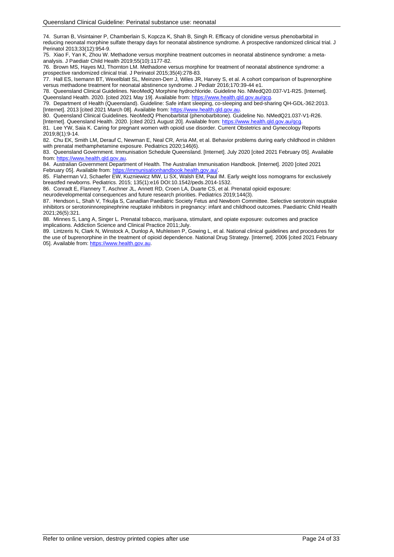74. Surran B, Visintainer P, Chamberlain S, Kopcza K, Shah B, Singh R. Efficacy of clonidine versus phenobarbital in reducing neonatal morphine sulfate therapy days for neonatal abstinence syndrome. A prospective randomized clinical trial. J Perinatol 2013;33(12):954-9.

75. Xiao F, Yan K, Zhou W. Methadone versus morphine treatment outcomes in neonatal abstinence syndrome: a metaanalysis. J Paediatr Child Health 2019;55(10):1177-82.

76. Brown MS, Hayes MJ, Thornton LM. Methadone versus morphine for treatment of neonatal abstinence syndrome: a prospective randomized clinical trial. J Perinatol 2015;35(4):278-83.

77. Hall ES, Isemann BT, Wexelblatt SL, Meinzen-Derr J, Wiles JR, Harvey S, et al. A cohort comparison of buprenorphine versus methadone treatment for neonatal abstinence syndrome. J Pediatr 2016;170:39-44 e1.

78. Queensland Clinical Guidelines. NeoMedQ Morphine hydrochloride. Guideline No. NMedQ20.037-V1-R25. [Internet]. Queensland Health. 2020. [cited 2021 May 19]. Available from: [https://www.health.qld.gov.au/qcg.](https://www.health.qld.gov.au/qcg)

79. Department of Health (Queensland). Guideline: Safe infant sleeping, co-sleeping and bed-sharing QH-GDL-362:2013. [Internet]. 2013 [cited 2021 March 08]. Available from: [https://www.health.qld.gov.au.](https://www.health.qld.gov.au/)

80. Queensland Clinical Guidelines. NeoMedQ Phenobarbital (phenobarbitone). Guideline No. NMedQ21.037-V1-R26. [Internet]. Queensland Health. 2020. [cited 2021 August 20]. Available from[: https://www.health.qld.gov.au/qcg.](https://www.health.qld.gov.au/qcg)

81. Lee YW, Saia K. Caring for pregnant women with opioid use disorder. Current Obstetrics and Gynecology Reports 2019;8(1):9-14.

82. Chu EK, Smith LM, Derauf C, Newman E, Neal CR, Arria AM, et al. Behavior problems during early childhood in children with prenatal methamphetamine exposure. Pediatrics 2020;146(6).

83. Queensland Government. Immunisation Schedule Queensland. [Internet]. July 2020 [cited 2021 February 05]. Available from[: https://www.health.qld.gov.au.](https://www.health.qld.gov.au/)

84. Australian Government Department of Health. The Australian Immunisation Handbook. [Internet]. 2020 [cited 2021 February 05]. Available from: [https://immunisationhandbook.health.gov.au/.](https://immunisationhandbook.health.gov.au/)health.gov.au/.health.gov.

85. Flaherman VJ, Schaefer EW, Kuzniewicz MW, Li SX, Walsh EM, Paul IM. Early weight loss nomograms for exclusively breastfed newborns. Pediatrics. 2015; 135(1):e16 DOI:10.1542/peds.2014-1532.

86. Conradt E, Flannery T, Aschner JL, Annett RD, Croen LA, Duarte CS, et al. Prenatal opioid exposure:

neurodevelopmental consequences and future research priorities. Pediatrics 2019;144(3).

87. Hendson L, Shah V, Trkulia S, Canadian Paediatric Society Fetus and Newborn Committee. Selective serotonin reuptake inhibitors or serotoninnorepinephrine reuptake inhibitors in pregnancy: infant and childhood outcomes. Paediatric Child Health 2021;26(5):321.

88. Minnes S, Lang A, Singer L. Prenatal tobacco, marijuana, stimulant, and opiate exposure: outcomes and practice implications. Addiction Science and Clinical Practice 2011;July.

89. Lintzeris N, Clark N, Winstock A, Dunlop A, Muhleisen P, Gowing L, et al. National clinical guidelines and procedures for the use of buprenorphine in the treatment of opioid dependence. National Drug Strategy. [Internet]. 2006 [cited 2021 February 05]. Available from: [https://www.health.gov.au.](https://www.health.gov.au/)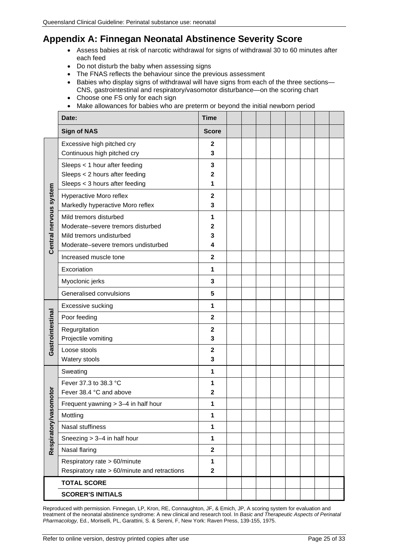# <span id="page-24-0"></span>**Appendix A: Finnegan Neonatal Abstinence Severity Score**

- Assess babies at risk of narcotic withdrawal for signs of withdrawal 30 to 60 minutes after each feed
- Do not disturb the baby when assessing signs
- The FNAS reflects the behaviour since the previous assessment
- Babies who display signs of withdrawal will have signs from each of the three sections— CNS, gastrointestinal and respiratory/vasomotor disturbance—on the scoring chart
- Choose one FS only for each sign
- Make allowances for babies who are preterm or beyond the initial newborn period

|                        | Date:                                                                                                                          | <b>Time</b>             |  |  |  |  |
|------------------------|--------------------------------------------------------------------------------------------------------------------------------|-------------------------|--|--|--|--|
|                        | <b>Sign of NAS</b>                                                                                                             | <b>Score</b>            |  |  |  |  |
| Central nervous system | Excessive high pitched cry<br>Continuous high pitched cry                                                                      | $\mathbf{2}$<br>3       |  |  |  |  |
|                        | Sleeps < 1 hour after feeding<br>Sleeps < 2 hours after feeding<br>Sleeps < 3 hours after feeding                              | 3<br>$\mathbf 2$<br>1   |  |  |  |  |
|                        | Hyperactive Moro reflex<br>Markedly hyperactive Moro reflex                                                                    | $\mathbf 2$<br>3        |  |  |  |  |
|                        | Mild tremors disturbed<br>Moderate-severe tremors disturbed<br>Mild tremors undisturbed<br>Moderate-severe tremors undisturbed | 1<br>2<br>3<br>4        |  |  |  |  |
|                        | Increased muscle tone                                                                                                          | $\mathbf{2}$            |  |  |  |  |
|                        | Excoriation                                                                                                                    | 1                       |  |  |  |  |
|                        | Myoclonic jerks                                                                                                                | 3                       |  |  |  |  |
|                        | Generalised convulsions                                                                                                        | 5                       |  |  |  |  |
|                        | Excessive sucking                                                                                                              | $\mathbf{1}$            |  |  |  |  |
|                        | Poor feeding                                                                                                                   | $\overline{\mathbf{2}}$ |  |  |  |  |
| Gastrointestinal       | Regurgitation<br>Projectile vomiting                                                                                           | $\mathbf 2$<br>3        |  |  |  |  |
|                        | Loose stools<br>Watery stools                                                                                                  | $\mathbf 2$<br>3        |  |  |  |  |
|                        | Sweating                                                                                                                       | $\mathbf{1}$            |  |  |  |  |
| omotor                 | Fever 37.3 to 38.3 °C<br>Fever 38.4 °C and above                                                                               | 1<br>$\mathbf 2$        |  |  |  |  |
|                        | Frequent yawning $> 3-4$ in half hour                                                                                          | 1                       |  |  |  |  |
|                        | Mottling                                                                                                                       | 1                       |  |  |  |  |
| Respiratory/vas        | Nasal stuffiness                                                                                                               | $\mathbf 1$             |  |  |  |  |
|                        | Sneezing > 3-4 in half hour                                                                                                    | $\mathbf{1}$            |  |  |  |  |
|                        | Nasal flaring                                                                                                                  | $\mathbf{2}$            |  |  |  |  |
|                        | Respiratory rate > 60/minute<br>Respiratory rate > 60/minute and retractions                                                   | 1<br>$\mathbf{2}$       |  |  |  |  |
|                        | <b>TOTAL SCORE</b>                                                                                                             |                         |  |  |  |  |
|                        | <b>SCORER'S INITIALS</b>                                                                                                       |                         |  |  |  |  |

Reproduced with permission. Finnegan, LP, Kron, RE, Connaughton, JF, & Emich, JP, A scoring system for evaluation and treatment of the neonatal abstinence syndrome: A new clinical and research tool. In *Basic and Therapeutic Aspects of Perinatal Pharmacology,* Ed., Moriselli, PL, Garattini, S. & Sereni, F, New York: Raven Press, 139-155, 1975.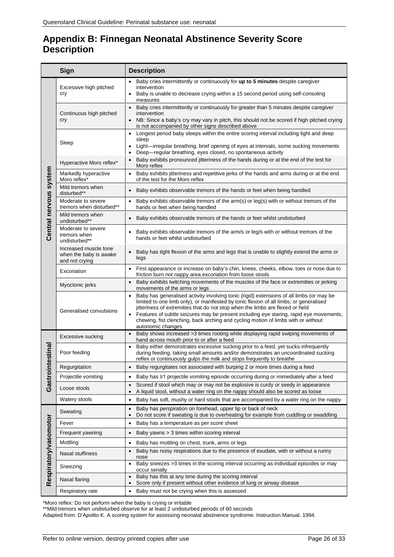# <span id="page-25-0"></span>**Appendix B: Finnegan Neonatal Abstinence Severity Score Description**

|                        | Sign                                                              | <b>Description</b>                                                                                                                                                                                                                                                                                                                                                                                                                                                                                |
|------------------------|-------------------------------------------------------------------|---------------------------------------------------------------------------------------------------------------------------------------------------------------------------------------------------------------------------------------------------------------------------------------------------------------------------------------------------------------------------------------------------------------------------------------------------------------------------------------------------|
|                        | Excessive high pitched<br>cry                                     | Baby cries intermittently or continuously for up to 5 minutes despite caregiver<br>intervention<br>Baby is unable to decrease crying within a 15 second period using self-consoling<br>measures                                                                                                                                                                                                                                                                                                   |
|                        | Continuous high pitched<br>cry                                    | Baby cries intermittently or continuously for greater than 5 minutes despite caregiver<br>$\bullet$<br>intervention<br>NB: Since a baby's cry may vary in pitch, this should not be scored if high pitched crying<br>is not accompanied by other signs described above                                                                                                                                                                                                                            |
|                        | Sleep                                                             | Longest period baby sleeps within the entire scoring interval including light and deep<br>$\bullet$<br>sleep<br>Light—irregular breathing, brief opening of eyes at intervals, some sucking movements<br>$\bullet$<br>Deep-regular breathing, eyes closed, no spontaneous activity<br>$\bullet$                                                                                                                                                                                                   |
|                        | Hyperactive Moro reflex*                                          | Baby exhibits pronounced jitteriness of the hands during or at the end of the test for<br>$\bullet$<br>Moro reflex                                                                                                                                                                                                                                                                                                                                                                                |
|                        | Markedly hyperactive<br>Moro reflex*                              | Baby exhibits jitteriness and repetitive jerks of the hands and arms during or at the end<br>$\bullet$<br>of the test for the Moro reflex                                                                                                                                                                                                                                                                                                                                                         |
|                        | Mild tremors when<br>disturbed**                                  | Baby exhibits observable tremors of the hands or feet when being handled                                                                                                                                                                                                                                                                                                                                                                                                                          |
|                        | Moderate to severe<br>tremors when disturbed**                    | Baby exhibits observable tremors of the arm(s) or leg(s) with or without tremors of the<br>$\bullet$<br>hands or feet when being handled                                                                                                                                                                                                                                                                                                                                                          |
|                        | Mild tremors when<br>undisturbed**                                | Baby exhibits observable tremors of the hands or feet whilst undisturbed                                                                                                                                                                                                                                                                                                                                                                                                                          |
| Central nervous system | Moderate to severe<br>tremors when<br>undisturbed**               | Baby exhibits observable tremors of the arm/s or leg/s with or without tremors of the<br>hands or feet whilst undisturbed                                                                                                                                                                                                                                                                                                                                                                         |
|                        | Increased muscle tone<br>when the baby is awake<br>and not crying | Baby has tight flexion of the arms and legs that is unable to slightly extend the arms or<br>legs                                                                                                                                                                                                                                                                                                                                                                                                 |
|                        | Excoriation                                                       | First appearance or increase on baby's chin, knees, cheeks, elbow, toes or nose due to<br>$\bullet$<br>friction burn not nappy area excoriation from loose stools                                                                                                                                                                                                                                                                                                                                 |
|                        | Myoclonic jerks                                                   | Baby exhibits twitching movements of the muscles of the face or extremities or jerking<br>movements of the arms or legs                                                                                                                                                                                                                                                                                                                                                                           |
|                        | Generalised convulsions                                           | Baby has generalised activity involving tonic (rigid) extensions of all limbs (or may be<br>$\bullet$<br>limited to one limb only), or manifested by tonic flexion of all limbs; or generalised<br>jitteriness of extremities that do not stop when the limbs are flexed or held<br>Features of subtle seizures may be present including eye staring, rapid eye movements,<br>$\bullet$<br>chewing, fist clenching, back arching and cycling motion of limbs with or without<br>autonomic changes |
|                        | Excessive sucking                                                 | • Baby shows increased >3 times rooting while displaying rapid swiping movements of<br>hand across mouth prior to or after a feed                                                                                                                                                                                                                                                                                                                                                                 |
| stinal                 | Poor feeding                                                      | Baby either demonstrates excessive sucking prior to a feed, yet sucks infrequently<br>$\bullet$<br>during feeding, taking small amounts and/or demonstrates an uncoordinated sucking<br>reflex or continuously gulps the milk and stops frequently to breathe                                                                                                                                                                                                                                     |
| Gastrointe             | Regurgitation                                                     | Baby regurgitates not associated with burping 2 or more times during a feed                                                                                                                                                                                                                                                                                                                                                                                                                       |
|                        | Projectile vomiting                                               | Baby has ≥1 projectile vomiting episode occurring during or immediately after a feed<br>$\bullet$                                                                                                                                                                                                                                                                                                                                                                                                 |
|                        | Loose stools                                                      | Scored if stool which may or may not be explosive is curdy or seedy in appearance<br>$\bullet$<br>A liquid stool, without a water ring on the nappy should also be scored as loose<br>$\bullet$                                                                                                                                                                                                                                                                                                   |
|                        | Watery stools                                                     | Baby has soft, mushy or hard stools that are accompanied by a water ring on the nappy<br>$\bullet$                                                                                                                                                                                                                                                                                                                                                                                                |
|                        | Sweating                                                          | Baby has perspiration on forehead, upper lip or back of neck<br>$\bullet$<br>Do not score if sweating is due to overheating for example from cuddling or swaddling<br>$\bullet$                                                                                                                                                                                                                                                                                                                   |
|                        | Fever                                                             | Baby has a temperature as per score sheet<br>$\bullet$                                                                                                                                                                                                                                                                                                                                                                                                                                            |
|                        | Frequent yawning                                                  | Baby yawns > 3 times within scoring interval<br>$\bullet$                                                                                                                                                                                                                                                                                                                                                                                                                                         |
| Respiratory/vasomotor  | Mottling                                                          | Baby has mottling on chest, trunk, arms or legs<br>$\bullet$                                                                                                                                                                                                                                                                                                                                                                                                                                      |
|                        | Nasal stuffiness                                                  | Baby has noisy respirations due to the presence of exudate, with or without a runny<br>$\bullet$<br>nose                                                                                                                                                                                                                                                                                                                                                                                          |
|                        | Sneezing                                                          | Baby sneezes >3 times in the scoring interval occurring as individual episodes or may<br>occur serially                                                                                                                                                                                                                                                                                                                                                                                           |
|                        | Nasal flaring                                                     | Baby has this at any time during the scoring interval<br>$\bullet$<br>Score only if present without other evidence of lung or airway disease                                                                                                                                                                                                                                                                                                                                                      |
|                        | Respiratory rate                                                  | Baby must not be crying when this is assessed<br>$\bullet$                                                                                                                                                                                                                                                                                                                                                                                                                                        |

\*Moro reflex: Do not perform when the baby is crying or irritable

\*\*Mild tremors when undisturbed observe for at least 2 undisturbed periods of 60 seconds

Adapted from: D'Apolito K. A scoring system for assessing neonatal abstinence syndrome. Instruction Manual. 1994.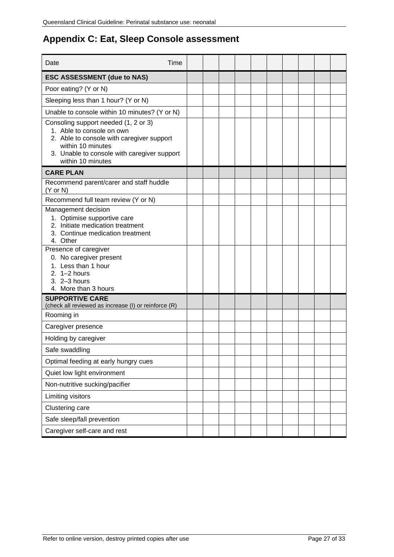# <span id="page-26-0"></span>**Appendix C: Eat, Sleep Console assessment**

| Time<br>Date                                                                                                                                                                                            |  |  |  |  |  |  |
|---------------------------------------------------------------------------------------------------------------------------------------------------------------------------------------------------------|--|--|--|--|--|--|
| <b>ESC ASSESSMENT (due to NAS)</b>                                                                                                                                                                      |  |  |  |  |  |  |
| Poor eating? (Y or N)                                                                                                                                                                                   |  |  |  |  |  |  |
| Sleeping less than 1 hour? (Y or N)                                                                                                                                                                     |  |  |  |  |  |  |
| Unable to console within 10 minutes? (Y or N)                                                                                                                                                           |  |  |  |  |  |  |
| Consoling support needed (1, 2 or 3)<br>1. Able to console on own<br>2. Able to console with caregiver support<br>within 10 minutes<br>3. Unable to console with caregiver support<br>within 10 minutes |  |  |  |  |  |  |
| <b>CARE PLAN</b>                                                                                                                                                                                        |  |  |  |  |  |  |
| Recommend parent/carer and staff huddle<br>$(Y \text{ or } N)$                                                                                                                                          |  |  |  |  |  |  |
| Recommend full team review (Y or N)                                                                                                                                                                     |  |  |  |  |  |  |
| Management decision<br>1. Optimise supportive care<br>2. Initiate medication treatment<br>3. Continue medication treatment<br>4. Other                                                                  |  |  |  |  |  |  |
| Presence of caregiver<br>0. No caregiver present<br>1. Less than 1 hour<br>2. $1-2$ hours<br>3. 2-3 hours<br>4. More than 3 hours                                                                       |  |  |  |  |  |  |
| <b>SUPPORTIVE CARE</b><br>(check all reviewed as increase (I) or reinforce (R)                                                                                                                          |  |  |  |  |  |  |
| Rooming in                                                                                                                                                                                              |  |  |  |  |  |  |
| Caregiver presence                                                                                                                                                                                      |  |  |  |  |  |  |
| Holding by caregiver                                                                                                                                                                                    |  |  |  |  |  |  |
| Safe swaddling                                                                                                                                                                                          |  |  |  |  |  |  |
| Optimal feeding at early hungry cues                                                                                                                                                                    |  |  |  |  |  |  |
| Quiet low light environment                                                                                                                                                                             |  |  |  |  |  |  |
| Non-nutritive sucking/pacifier                                                                                                                                                                          |  |  |  |  |  |  |
| Limiting visitors                                                                                                                                                                                       |  |  |  |  |  |  |
| Clustering care                                                                                                                                                                                         |  |  |  |  |  |  |
| Safe sleep/fall prevention                                                                                                                                                                              |  |  |  |  |  |  |
| Caregiver self-care and rest                                                                                                                                                                            |  |  |  |  |  |  |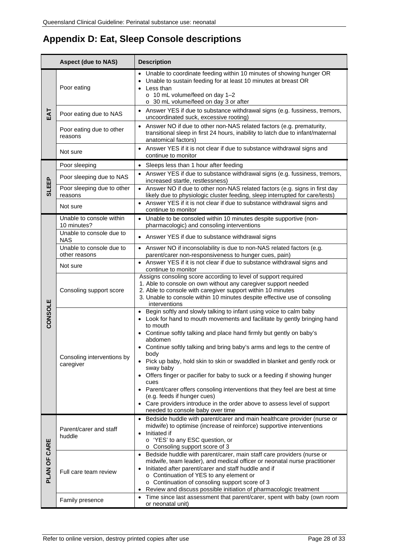# <span id="page-27-0"></span>**Appendix D: Eat, Sleep Console descriptions**

|              | <b>Aspect (due to NAS)</b>                | <b>Description</b>                                                                                                                                                                                                                                                                                                                                                                                                                                                                                                                                                                                                                                                                                                                                     |  |  |  |  |
|--------------|-------------------------------------------|--------------------------------------------------------------------------------------------------------------------------------------------------------------------------------------------------------------------------------------------------------------------------------------------------------------------------------------------------------------------------------------------------------------------------------------------------------------------------------------------------------------------------------------------------------------------------------------------------------------------------------------------------------------------------------------------------------------------------------------------------------|--|--|--|--|
|              | Poor eating                               | • Unable to coordinate feeding within 10 minutes of showing hunger OR<br>Unable to sustain feeding for at least 10 minutes at breast OR<br>Less than<br>o 10 mL volume/feed on day 1-2<br>o 30 mL volume/feed on day 3 or after                                                                                                                                                                                                                                                                                                                                                                                                                                                                                                                        |  |  |  |  |
| EAT          | Poor eating due to NAS                    | • Answer YES if due to substance withdrawal signs (e.g. fussiness, tremors,<br>uncoordinated suck, excessive rooting)                                                                                                                                                                                                                                                                                                                                                                                                                                                                                                                                                                                                                                  |  |  |  |  |
|              | Poor eating due to other<br>reasons       | • Answer NO if due to other non-NAS related factors (e.g. prematurity,<br>transitional sleep in first 24 hours, inability to latch due to infant/maternal<br>anatomical factors)                                                                                                                                                                                                                                                                                                                                                                                                                                                                                                                                                                       |  |  |  |  |
|              | Not sure                                  | • Answer YES if it is not clear if due to substance withdrawal signs and<br>continue to monitor                                                                                                                                                                                                                                                                                                                                                                                                                                                                                                                                                                                                                                                        |  |  |  |  |
|              | Poor sleeping                             | • Sleeps less than 1 hour after feeding                                                                                                                                                                                                                                                                                                                                                                                                                                                                                                                                                                                                                                                                                                                |  |  |  |  |
|              | Poor sleeping due to NAS                  | • Answer YES if due to substance withdrawal signs (e.g. fussiness, tremors,<br>increased startle, restlessness)                                                                                                                                                                                                                                                                                                                                                                                                                                                                                                                                                                                                                                        |  |  |  |  |
| <b>SLEEP</b> | Poor sleeping due to other<br>reasons     | • Answer NO if due to other non-NAS related factors (e.g. signs in first day<br>likely due to physiologic cluster feeding, sleep interrupted for care/tests)                                                                                                                                                                                                                                                                                                                                                                                                                                                                                                                                                                                           |  |  |  |  |
|              | Not sure                                  | • Answer YES if it is not clear if due to substance withdrawal signs and<br>continue to monitor                                                                                                                                                                                                                                                                                                                                                                                                                                                                                                                                                                                                                                                        |  |  |  |  |
|              | Unable to console within<br>10 minutes?   | Unable to be consoled within 10 minutes despite supportive (non-<br>pharmacologic) and consoling interventions                                                                                                                                                                                                                                                                                                                                                                                                                                                                                                                                                                                                                                         |  |  |  |  |
|              | Unable to console due to<br><b>NAS</b>    | • Answer YES if due to substance withdrawal signs                                                                                                                                                                                                                                                                                                                                                                                                                                                                                                                                                                                                                                                                                                      |  |  |  |  |
|              | Unable to console due to<br>other reasons | • Answer NO if inconsolability is due to non-NAS related factors (e.g.<br>parent/carer non-responsiveness to hunger cues, pain)                                                                                                                                                                                                                                                                                                                                                                                                                                                                                                                                                                                                                        |  |  |  |  |
| CONSOLE      | Not sure                                  | • Answer YES if it is not clear if due to substance withdrawal signs and<br>continue to monitor                                                                                                                                                                                                                                                                                                                                                                                                                                                                                                                                                                                                                                                        |  |  |  |  |
|              | Consoling support score                   | Assigns consoling score according to level of support required<br>1. Able to console on own without any caregiver support needed<br>2. Able to console with caregiver support within 10 minutes<br>3. Unable to console within 10 minutes despite effective use of consoling<br>interventions                                                                                                                                                                                                                                                                                                                                                                                                                                                          |  |  |  |  |
|              | Consoling interventions by<br>caregiver   | • Begin softly and slowly talking to infant using voice to calm baby<br>• Look for hand to mouth movements and facilitate by gently bringing hand<br>to mouth<br>• Continue softly talking and place hand firmly but gently on baby's<br>abdomen<br>• Continue softly talking and bring baby's arms and legs to the centre of<br>body<br>Pick up baby, hold skin to skin or swaddled in blanket and gently rock or<br>sway baby<br>• Offers finger or pacifier for baby to suck or a feeding if showing hunger<br>cues<br>• Parent/carer offers consoling interventions that they feel are best at time<br>(e.g. feeds if hunger cues)<br>• Care providers introduce in the order above to assess level of support<br>needed to console baby over time |  |  |  |  |
| PLAN OF CARE | Parent/carer and staff<br>huddle          | • Bedside huddle with parent/carer and main healthcare provider (nurse or<br>midwife) to optimise (increase of reinforce) supportive interventions<br>Initiated if<br>$\bullet$<br>o 'YES' to any ESC question, or<br>o Consoling support score of 3                                                                                                                                                                                                                                                                                                                                                                                                                                                                                                   |  |  |  |  |
|              | Full care team review                     | Bedside huddle with parent/carer, main staff care providers (nurse or<br>$\bullet$<br>midwife, team leader), and medical officer or neonatal nurse practitioner<br>Initiated after parent/carer and staff huddle and if<br>$\bullet$<br>o Continuation of YES to any element or<br>o Continuation of consoling support score of 3<br>Review and discuss possible initiation of pharmacologic treatment                                                                                                                                                                                                                                                                                                                                                 |  |  |  |  |
|              | Family presence                           | Time since last assessment that parent/carer, spent with baby (own room<br>$\bullet$<br>or neonatal unit)                                                                                                                                                                                                                                                                                                                                                                                                                                                                                                                                                                                                                                              |  |  |  |  |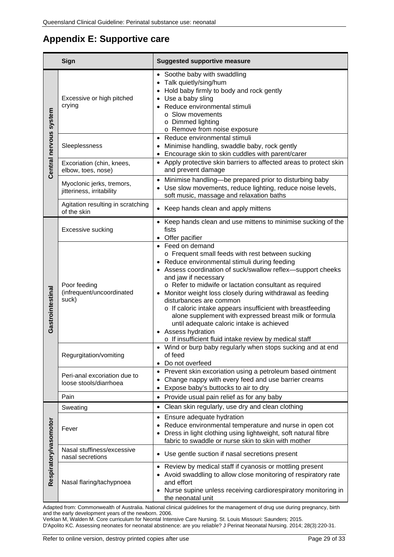# <span id="page-28-0"></span>**Appendix E: Supportive care**

| Sign                   |                                                        | <b>Suggested supportive measure</b>                                                                                                                                                                                                                                                                                                                                                                                                                                                                                                                                                                                   |  |
|------------------------|--------------------------------------------------------|-----------------------------------------------------------------------------------------------------------------------------------------------------------------------------------------------------------------------------------------------------------------------------------------------------------------------------------------------------------------------------------------------------------------------------------------------------------------------------------------------------------------------------------------------------------------------------------------------------------------------|--|
| Central nervous system | Excessive or high pitched<br>crying                    | • Soothe baby with swaddling<br>• Talk quietly/sing/hum<br>• Hold baby firmly to body and rock gently<br>• Use a baby sling<br>• Reduce environmental stimuli<br>o Slow movements<br>o Dimmed lighting<br>o Remove from noise exposure                                                                                                                                                                                                                                                                                                                                                                                |  |
|                        | Sleeplessness                                          | • Reduce environmental stimuli<br>Minimise handling, swaddle baby, rock gently<br>Encourage skin to skin cuddles with parent/carer<br>$\bullet$                                                                                                                                                                                                                                                                                                                                                                                                                                                                       |  |
|                        | Excoriation (chin, knees,<br>elbow, toes, nose)        | • Apply protective skin barriers to affected areas to protect skin<br>and prevent damage                                                                                                                                                                                                                                                                                                                                                                                                                                                                                                                              |  |
|                        | Myoclonic jerks, tremors,<br>jitteriness, irritability | Minimise handling-be prepared prior to disturbing baby<br>Use slow movements, reduce lighting, reduce noise levels,<br>soft music, massage and relaxation baths                                                                                                                                                                                                                                                                                                                                                                                                                                                       |  |
|                        | Agitation resulting in scratching<br>of the skin       | • Keep hands clean and apply mittens                                                                                                                                                                                                                                                                                                                                                                                                                                                                                                                                                                                  |  |
| Gastrointestinal       | Excessive sucking                                      | • Keep hands clean and use mittens to minimise sucking of the<br>fists<br>• Offer pacifier                                                                                                                                                                                                                                                                                                                                                                                                                                                                                                                            |  |
|                        | Poor feeding<br>(infrequent/uncoordinated<br>suck)     | • Feed on demand<br>o Frequent small feeds with rest between sucking<br>• Reduce environmental stimuli during feeding<br>• Assess coordination of suck/swallow reflex-support cheeks<br>and jaw if necessary<br>o Refer to midwife or lactation consultant as required<br>• Monitor weight loss closely during withdrawal as feeding<br>disturbances are common<br>o If caloric intake appears insufficient with breastfeeding<br>alone supplement with expressed breast milk or formula<br>until adequate caloric intake is achieved<br>• Assess hydration<br>o If insufficient fluid intake review by medical staff |  |
|                        | Regurgitation/vomiting                                 | • Wind or burp baby regularly when stops sucking and at end<br>of feed<br>Do not overfeed                                                                                                                                                                                                                                                                                                                                                                                                                                                                                                                             |  |
|                        | Peri-anal excoriation due to<br>loose stools/diarrhoea | Prevent skin excoriation using a petroleum based ointment<br>Change nappy with every feed and use barrier creams<br>Expose baby's buttocks to air to dry                                                                                                                                                                                                                                                                                                                                                                                                                                                              |  |
|                        | Pain                                                   | • Provide usual pain relief as for any baby                                                                                                                                                                                                                                                                                                                                                                                                                                                                                                                                                                           |  |
|                        | Sweating                                               | Clean skin regularly, use dry and clean clothing                                                                                                                                                                                                                                                                                                                                                                                                                                                                                                                                                                      |  |
| Respiratory/vasomotor  | Fever                                                  | • Ensure adequate hydration<br>Reduce environmental temperature and nurse in open cot<br>• Dress in light clothing using lightweight, soft natural fibre<br>fabric to swaddle or nurse skin to skin with mother                                                                                                                                                                                                                                                                                                                                                                                                       |  |
|                        | Nasal stuffiness/excessive<br>nasal secretions         | Use gentle suction if nasal secretions present                                                                                                                                                                                                                                                                                                                                                                                                                                                                                                                                                                        |  |
|                        | Nasal flaring/tachypnoea                               | • Review by medical staff if cyanosis or mottling present<br>• Avoid swaddling to allow close monitoring of respiratory rate<br>and effort<br>Nurse supine unless receiving cardiorespiratory monitoring in<br>the neonatal unit                                                                                                                                                                                                                                                                                                                                                                                      |  |

Adapted from: Commonwealth of Australia. National clinical guidelines for the management of drug use during pregnancy, birth and the early development years of the newborn. 2006.

Verklan M, Walden M. Core curriculum for Neontal Intensive Care Nursing. St. Louis Missouri: Saunders; 2015. D'Apolito KC. Assessing neonates for neonatal abstinence: are you reliable? J Perinat Neonatal Nursing. 2014; 28(3):220-31.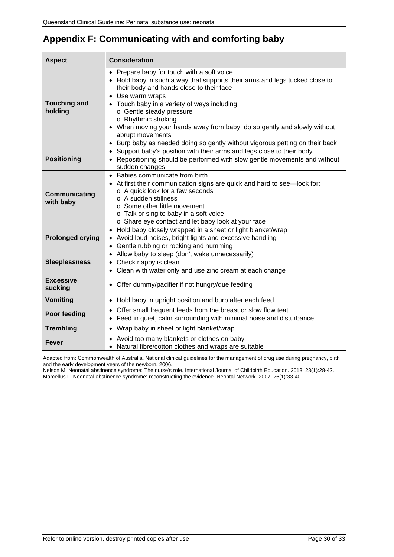| <b>Aspect</b>                  | <b>Consideration</b>                                                                                                                                                                                                                                                                                                                                                                                                                                                   |  |  |
|--------------------------------|------------------------------------------------------------------------------------------------------------------------------------------------------------------------------------------------------------------------------------------------------------------------------------------------------------------------------------------------------------------------------------------------------------------------------------------------------------------------|--|--|
| <b>Touching and</b><br>holding | • Prepare baby for touch with a soft voice<br>• Hold baby in such a way that supports their arms and legs tucked close to<br>their body and hands close to their face<br>Use warm wraps<br>Touch baby in a variety of ways including:<br>o Gentle steady pressure<br>o Rhythmic stroking<br>• When moving your hands away from baby, do so gently and slowly without<br>abrupt movements<br>Burp baby as needed doing so gently without vigorous patting on their back |  |  |
| <b>Positioning</b>             | • Support baby's position with their arms and legs close to their body<br>Repositioning should be performed with slow gentle movements and without<br>sudden changes                                                                                                                                                                                                                                                                                                   |  |  |
| Communicating<br>with baby     | • Babies communicate from birth<br>At first their communication signs are quick and hard to see-look for:<br>o A quick look for a few seconds<br>o A sudden stillness<br>o Some other little movement<br>o Talk or sing to baby in a soft voice<br>o Share eye contact and let baby look at your face                                                                                                                                                                  |  |  |
| <b>Prolonged crying</b>        | • Hold baby closely wrapped in a sheet or light blanket/wrap<br>• Avoid loud noises, bright lights and excessive handling<br>• Gentle rubbing or rocking and humming                                                                                                                                                                                                                                                                                                   |  |  |
| <b>Sleeplessness</b>           | • Allow baby to sleep (don't wake unnecessarily)<br>Check nappy is clean<br>Clean with water only and use zinc cream at each change                                                                                                                                                                                                                                                                                                                                    |  |  |
| <b>Excessive</b><br>sucking    | Offer dummy/pacifier if not hungry/due feeding                                                                                                                                                                                                                                                                                                                                                                                                                         |  |  |
| Vomiting                       | • Hold baby in upright position and burp after each feed                                                                                                                                                                                                                                                                                                                                                                                                               |  |  |
| Poor feeding                   | • Offer small frequent feeds from the breast or slow flow teat<br>Feed in quiet, calm surrounding with minimal noise and disturbance                                                                                                                                                                                                                                                                                                                                   |  |  |
| <b>Trembling</b>               | • Wrap baby in sheet or light blanket/wrap                                                                                                                                                                                                                                                                                                                                                                                                                             |  |  |
| Fever                          | • Avoid too many blankets or clothes on baby<br>Natural fibre/cotton clothes and wraps are suitable                                                                                                                                                                                                                                                                                                                                                                    |  |  |

# <span id="page-29-0"></span>**Appendix F: Communicating with and comforting baby**

Adapted from: Commonwealth of Australia. National clinical guidelines for the management of drug use during pregnancy, birth and the early development years of the newborn. 2006.

Nelson M. Neonatal abstinence syndrome: The nurse's role. International Journal of Childbirth Education. 2013; 28(1):28-42. Marcellus L. Neonatal abstinence syndrome: reconstructing the evidence. Neontal Network. 2007; 26(1):33-40.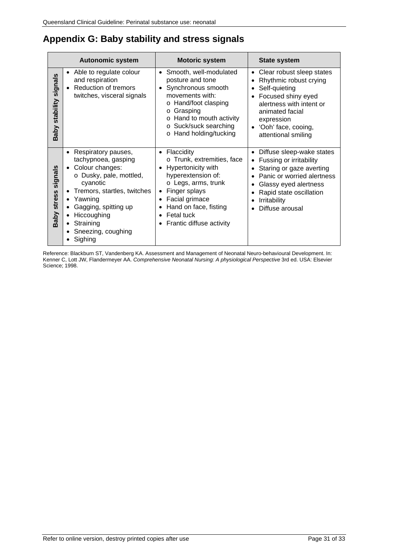# <span id="page-30-0"></span>**Appendix G: Baby stability and stress signals**

|                                  | <b>Autonomic system</b>                                                                                                                                                                                                                                                                                                        | <b>Motoric system</b>                                                                                                                                                                                                                           | <b>State system</b>                                                                                                                                                                                                                                                 |
|----------------------------------|--------------------------------------------------------------------------------------------------------------------------------------------------------------------------------------------------------------------------------------------------------------------------------------------------------------------------------|-------------------------------------------------------------------------------------------------------------------------------------------------------------------------------------------------------------------------------------------------|---------------------------------------------------------------------------------------------------------------------------------------------------------------------------------------------------------------------------------------------------------------------|
| signals<br>Baby stability        | Able to regulate colour<br>$\bullet$<br>and respiration<br><b>Reduction of tremors</b><br>twitches, visceral signals                                                                                                                                                                                                           | Smooth, well-modulated<br>$\bullet$<br>posture and tone<br>Synchronous smooth<br>movements with:<br>o Hand/foot clasping<br>Grasping<br>$\Omega$<br>Hand to mouth activity<br>Suck/suck searching<br>$\circ$<br>Hand holding/tucking<br>$\circ$ | Clear robust sleep states<br>$\bullet$<br>Rhythmic robust crying<br>Self-quieting<br>$\bullet$<br>Focused shiny eyed<br>alertness with intent or<br>animated facial<br>expression<br>'Ooh' face, cooing,<br>attentional smiling                                     |
| signals<br><b>stress</b><br>Baby | Respiratory pauses,<br>tachypnoea, gasping<br>Colour changes:<br>$\bullet$<br>o Dusky, pale, mottled,<br>cyanotic<br>Tremors, startles, twitches<br>$\bullet$<br>Yawning<br>$\bullet$<br>Gagging, spitting up<br>$\bullet$<br>Hiccoughing<br>$\bullet$<br>Straining<br>$\bullet$<br>Sneezing, coughing<br>$\bullet$<br>Sighing | Flaccidity<br>$\bullet$<br>o Trunk, extremities, face<br>Hypertonicity with<br>hyperextension of:<br>○ Legs, arms, trunk<br>Finger splays<br>Facial grimace<br>Hand on face, fisting<br>Fetal tuck<br>Frantic diffuse activity                  | Diffuse sleep-wake states<br>$\bullet$<br>Fussing or irritability<br>$\bullet$<br>Staring or gaze averting<br>Panic or worried alertness<br>Glassy eyed alertness<br>$\bullet$<br>Rapid state oscillation<br>٠<br>Irritability<br>٠<br>Diffuse arousal<br>$\bullet$ |

Reference: Blackburn ST, Vandenberg KA. Assessment and Management of Neonatal Neuro-behavioural Development. In: Kenner C, Lott JW, Flandermeyer AA. *Comprehensive Neonatal Nursing: A physiological Perspective* 3rd ed. USA: Elsevier Science; 1998.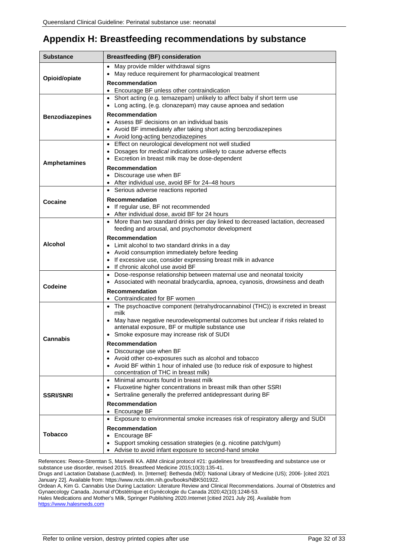# <span id="page-31-0"></span>**Appendix H: Breastfeeding recommendations by substance**

| Substance              | <b>Breastfeeding (BF) consideration</b>                                                                                                |
|------------------------|----------------------------------------------------------------------------------------------------------------------------------------|
|                        | May provide milder withdrawal signs<br>$\bullet$                                                                                       |
| Opioid/opiate          | May reduce requirement for pharmacological treatment                                                                                   |
|                        | <b>Recommendation</b>                                                                                                                  |
|                        | Encourage BF unless other contraindication<br>$\bullet$                                                                                |
|                        | • Short acting (e.g. temazepam) unlikely to affect baby if short term use                                                              |
|                        | Long acting, (e.g. clonazepam) may cause apnoea and sedation                                                                           |
| <b>Benzodiazepines</b> | <b>Recommendation</b>                                                                                                                  |
|                        | • Assess BF decisions on an individual basis<br>• Avoid BF immediately after taking short acting benzodiazepines                       |
|                        | Avoid long-acting benzodiazepines                                                                                                      |
|                        | Effect on neurological development not well studied                                                                                    |
|                        | Dosages for <i>medical</i> indications unlikely to cause adverse effects                                                               |
| <b>Amphetamines</b>    | Excretion in breast milk may be dose-dependent<br>$\bullet$                                                                            |
|                        | Recommendation                                                                                                                         |
|                        | • Discourage use when BF                                                                                                               |
|                        | • After individual use, avoid BF for 24-48 hours                                                                                       |
|                        | • Serious adverse reactions reported                                                                                                   |
| Cocaine                | <b>Recommendation</b>                                                                                                                  |
|                        | • If regular use, BF not recommended<br>• After individual dose, avoid BF for 24 hours                                                 |
|                        | • More than two standard drinks per day linked to decreased lactation, decreased                                                       |
|                        | feeding and arousal, and psychomotor development                                                                                       |
|                        | Recommendation                                                                                                                         |
| <b>Alcohol</b>         | • Limit alcohol to two standard drinks in a day                                                                                        |
|                        | • Avoid consumption immediately before feeding                                                                                         |
|                        | If excessive use, consider expressing breast milk in advance<br>$\bullet$                                                              |
|                        | If chronic alcohol use avoid BF                                                                                                        |
|                        | Dose-response relationship between maternal use and neonatal toxicity                                                                  |
| Codeine                | • Associated with neonatal bradycardia, apnoea, cyanosis, drowsiness and death                                                         |
|                        | <b>Recommendation</b>                                                                                                                  |
|                        | Contraindicated for BF women<br>• The psychoactive component (tetrahydrocannabinol (THC)) is excreted in breast                        |
|                        | milk                                                                                                                                   |
|                        | • May have negative neurodevelopmental outcomes but unclear if risks related to                                                        |
|                        | antenatal exposure, BF or multiple substance use                                                                                       |
| Cannabis               | Smoke exposure may increase risk of SUDI                                                                                               |
|                        | <b>Recommendation</b>                                                                                                                  |
|                        | Discourage use when BF                                                                                                                 |
|                        | Avoid other co-exposures such as alcohol and tobacco<br>• Avoid BF within 1 hour of inhaled use (to reduce risk of exposure to highest |
|                        | concentration of THC in breast milk)                                                                                                   |
|                        | • Minimal amounts found in breast milk                                                                                                 |
|                        | Fluoxetine higher concentrations in breast milk than other SSRI                                                                        |
| <b>SSRI/SNRI</b>       | Sertraline generally the preferred antidepressant during BF                                                                            |
|                        | <b>Recommendation</b>                                                                                                                  |
|                        | Encourage BF<br>$\bullet$                                                                                                              |
|                        | Exposure to environmental smoke increases risk of respiratory allergy and SUDI                                                         |
|                        | <b>Recommendation</b>                                                                                                                  |
| <b>Tobacco</b>         | Encourage BF                                                                                                                           |
|                        | Support smoking cessation strategies (e.g. nicotine patch/gum)                                                                         |
|                        | Advise to avoid infant exposure to second-hand smoke                                                                                   |

References: Reece-Stremtan S, Marinelli KA. ABM clinical protocol #21: guidelines for breastfeeding and substance use or substance use disorder, revised 2015. Breastfeed Medicine 2015;10(3):135-41.

Drugs and Lactation Database (LactMed). In. [Internet]: Bethesda (MD): National Library of Medicine (US); 2006- [cited 2021 January 22]. Available from[: https://www.ncbi.nlm.nih.gov/books/NBK501922.](https://www.ncbi.nlm.nih.gov/books/NBK501922/)

Ordean A, Kim G. Cannabis Use During Lactation: Literature Review and Clinical Recommendations. Journal of Obstetrics and Gynaecology Canada. Journal d'Obstétrique et Gynécologie du Canada 2020;42(10):1248-53.

Hales Medications and Mother's Milk, Springer Publishing 2020.Internet [citied 2021 July 26]. Available from [https://www.halesmeds.com](https://www.halesmeds.com/)